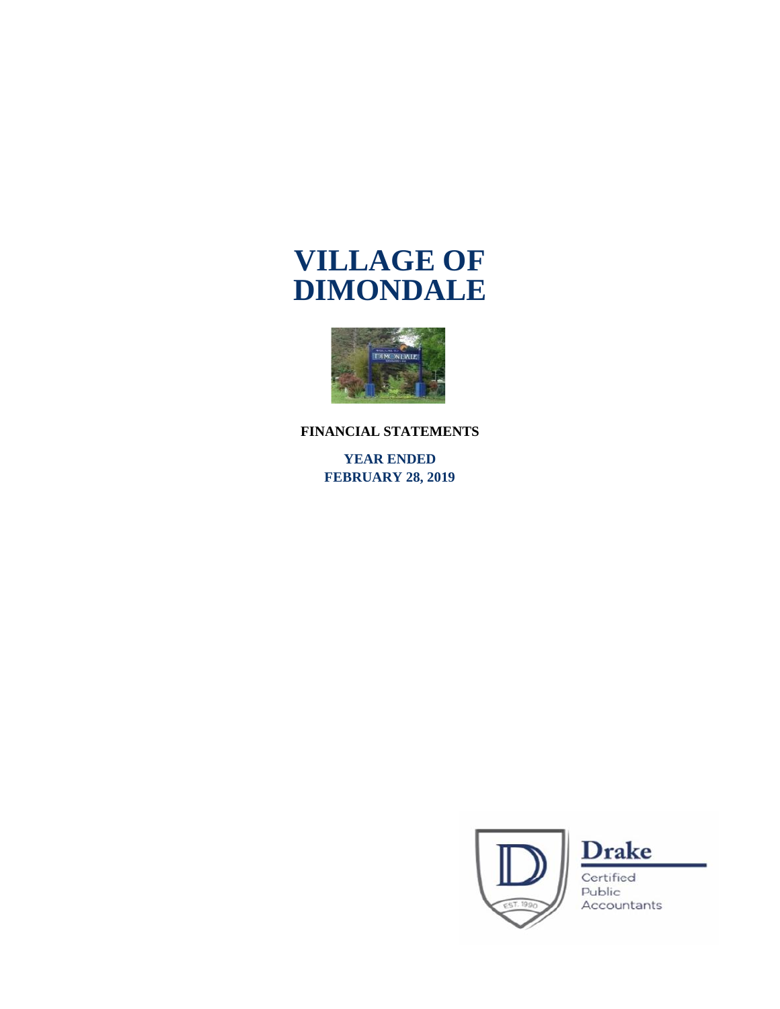

**FINANCIAL STATEMENTS**

**YEAR ENDED FEBRUARY 28, 2019**





Certified Public Accountants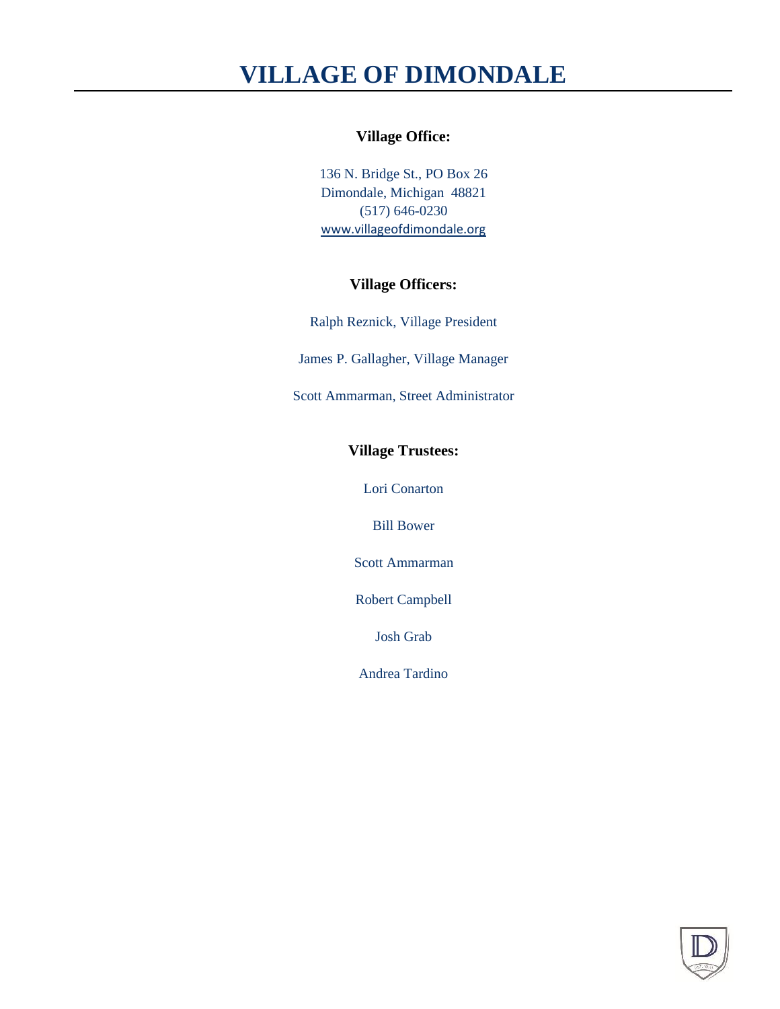### **Village Office:**

136 N. Bridge St., PO Box 26 Dimondale, Michigan 48821 (517) 646-0230 www.villageofdimondale.org

### **Village Officers:**

Ralph Reznick, Village President

James P. Gallagher, Village Manager

Scott Ammarman, Street Administrator

### **Village Trustees:**

Lori Conarton

Bill Bower

Scott Ammarman

Robert Campbell

Josh Grab

Andrea Tardino

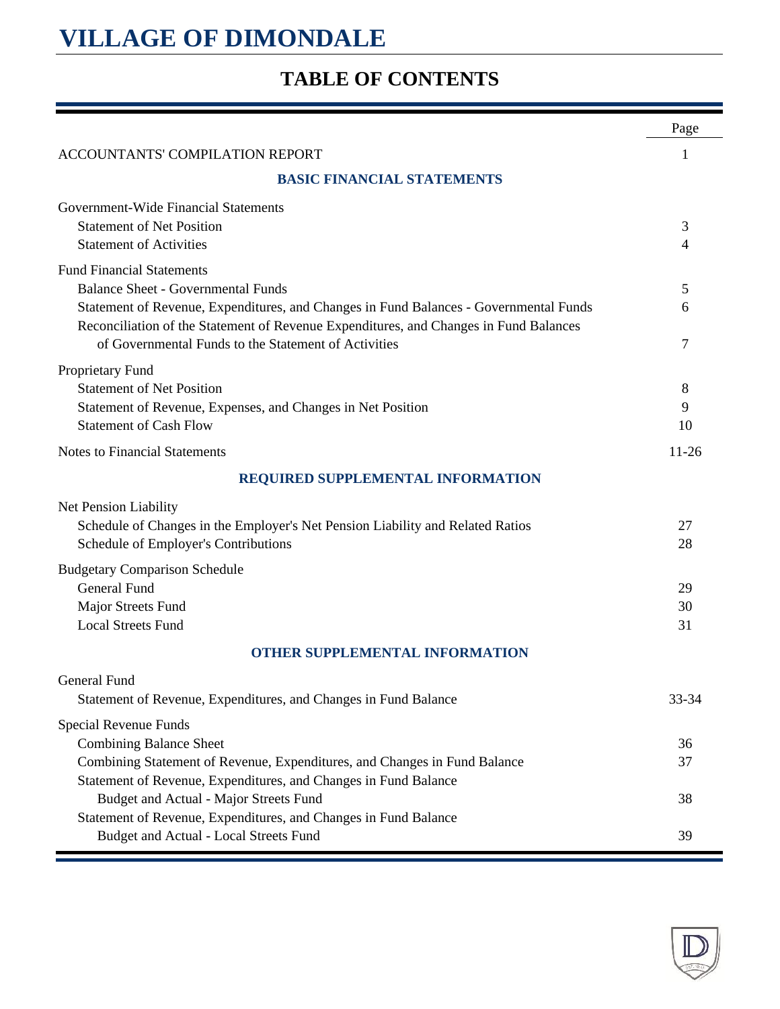## **TABLE OF CONTENTS**

|                                                                                                                                                                                | Page      |
|--------------------------------------------------------------------------------------------------------------------------------------------------------------------------------|-----------|
| ACCOUNTANTS' COMPILATION REPORT                                                                                                                                                | 1         |
| <b>BASIC FINANCIAL STATEMENTS</b>                                                                                                                                              |           |
| Government-Wide Financial Statements                                                                                                                                           |           |
| <b>Statement of Net Position</b>                                                                                                                                               | 3         |
| <b>Statement of Activities</b>                                                                                                                                                 | 4         |
| <b>Fund Financial Statements</b>                                                                                                                                               |           |
| <b>Balance Sheet - Governmental Funds</b>                                                                                                                                      | 5         |
| Statement of Revenue, Expenditures, and Changes in Fund Balances - Governmental Funds<br>Reconciliation of the Statement of Revenue Expenditures, and Changes in Fund Balances | 6         |
| of Governmental Funds to the Statement of Activities                                                                                                                           | 7         |
|                                                                                                                                                                                |           |
| Proprietary Fund<br><b>Statement of Net Position</b>                                                                                                                           |           |
| Statement of Revenue, Expenses, and Changes in Net Position                                                                                                                    | 8<br>9    |
| <b>Statement of Cash Flow</b>                                                                                                                                                  | 10        |
| <b>Notes to Financial Statements</b>                                                                                                                                           | $11 - 26$ |
|                                                                                                                                                                                |           |
| REQUIRED SUPPLEMENTAL INFORMATION                                                                                                                                              |           |
| Net Pension Liability                                                                                                                                                          |           |
| Schedule of Changes in the Employer's Net Pension Liability and Related Ratios                                                                                                 | 27        |
| Schedule of Employer's Contributions                                                                                                                                           | 28        |
| <b>Budgetary Comparison Schedule</b>                                                                                                                                           |           |
| <b>General Fund</b>                                                                                                                                                            | 29        |
| Major Streets Fund                                                                                                                                                             | 30        |
| <b>Local Streets Fund</b>                                                                                                                                                      | 31        |
| <b>OTHER SUPPLEMENTAL INFORMATION</b>                                                                                                                                          |           |
| General Fund                                                                                                                                                                   |           |
| Statement of Revenue, Expenditures, and Changes in Fund Balance                                                                                                                | 33-34     |
| Special Revenue Funds                                                                                                                                                          |           |
| <b>Combining Balance Sheet</b>                                                                                                                                                 | 36        |
| Combining Statement of Revenue, Expenditures, and Changes in Fund Balance                                                                                                      | 37        |
| Statement of Revenue, Expenditures, and Changes in Fund Balance                                                                                                                |           |
| Budget and Actual - Major Streets Fund                                                                                                                                         | 38        |
| Statement of Revenue, Expenditures, and Changes in Fund Balance                                                                                                                |           |
| Budget and Actual - Local Streets Fund                                                                                                                                         | 39        |

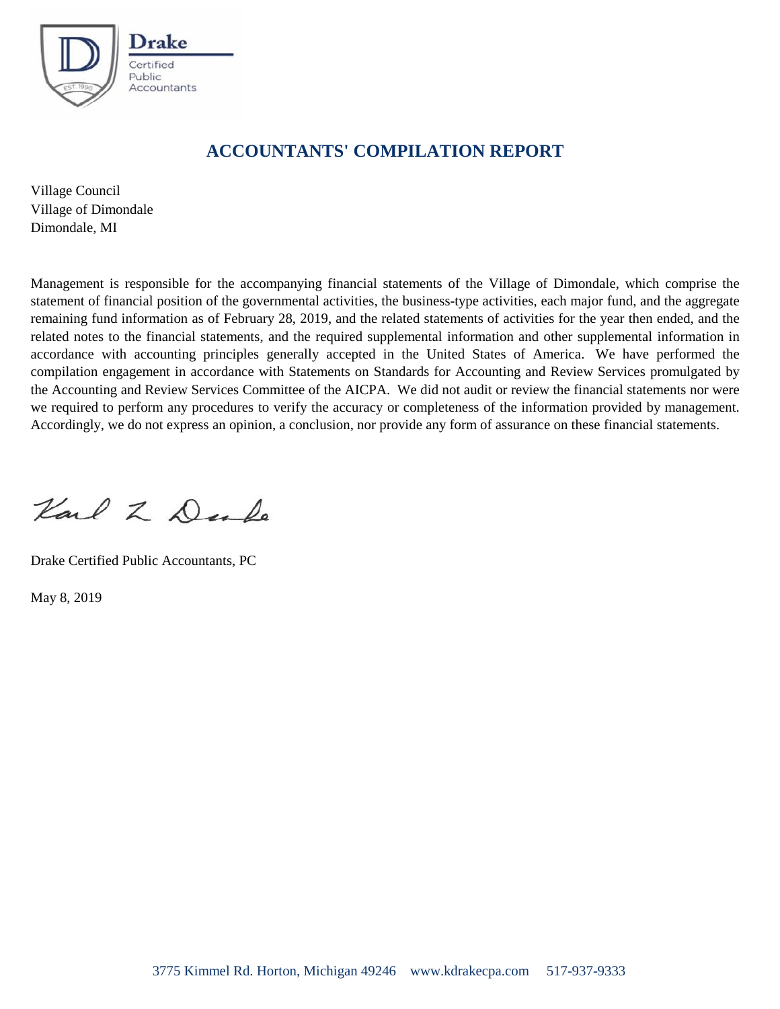

## **ACCOUNTANTS' COMPILATION REPORT**

Village Council Village of Dimondale Dimondale, MI

Management is responsible for the accompanying financial statements of the Village of Dimondale, which comprise the statement of financial position of the governmental activities, the business-type activities, each major fund, and the aggregate remaining fund information as of February 28, 2019, and the related statements of activities for the year then ended, and the related notes to the financial statements, and the required supplemental information and other supplemental information in accordance with accounting principles generally accepted in the United States of America. We have performed the compilation engagement in accordance with Statements on Standards for Accounting and Review Services promulgated by the Accounting and Review Services Committee of the AICPA. We did not audit or review the financial statements nor were we required to perform any procedures to verify the accuracy or completeness of the information provided by management. Accordingly, we do not express an opinion, a conclusion, nor provide any form of assurance on these financial statements.

Karl Z De Do

Drake Certified Public Accountants, PC

May 8, 2019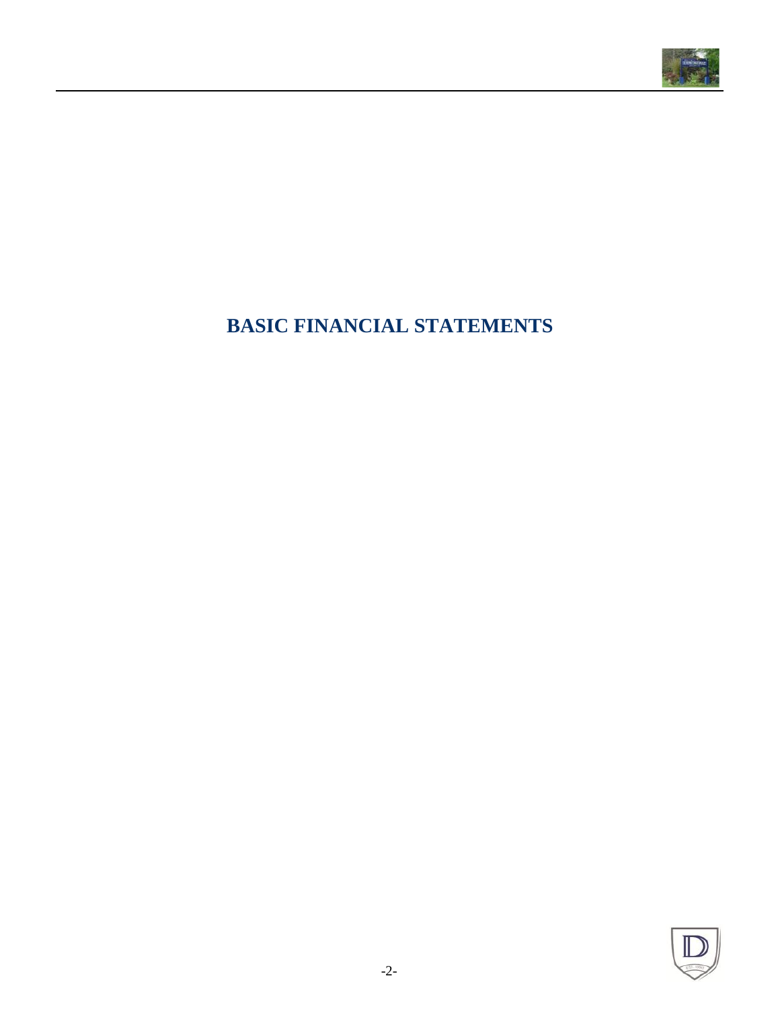

## **BASIC FINANCIAL STATEMENTS**

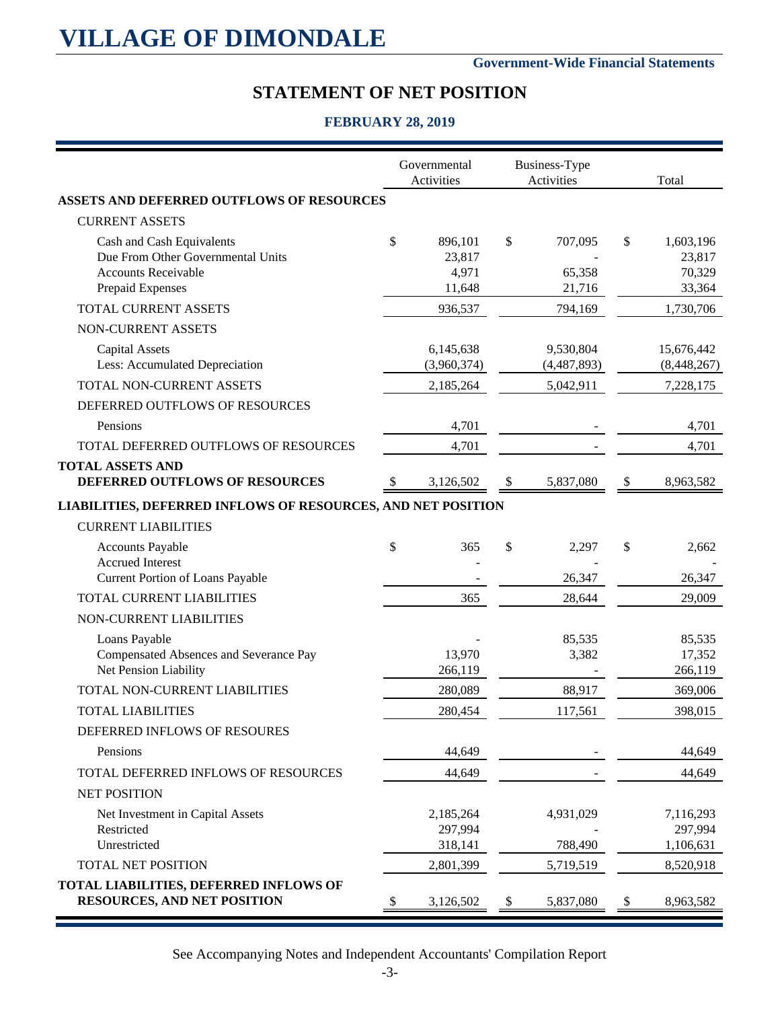#### **Government-Wide Financial Statements**

## **STATEMENT OF NET POSITION**

#### **FEBRUARY 28, 2019**

|                                                                                  | Governmental<br>Activities |                           | Business-Type<br>Activities | Total                       |
|----------------------------------------------------------------------------------|----------------------------|---------------------------|-----------------------------|-----------------------------|
| <b>ASSETS AND DEFERRED OUTFLOWS OF RESOURCES</b>                                 |                            |                           |                             |                             |
| <b>CURRENT ASSETS</b>                                                            |                            |                           |                             |                             |
| Cash and Cash Equivalents<br>Due From Other Governmental Units                   | \$<br>896,101<br>23,817    | \$                        | 707,095                     | \$<br>1,603,196<br>23,817   |
| <b>Accounts Receivable</b><br>Prepaid Expenses                                   | 4,971<br>11,648            |                           | 65,358<br>21,716            | 70,329<br>33,364            |
| TOTAL CURRENT ASSETS                                                             | 936,537                    |                           | 794,169                     | 1,730,706                   |
| NON-CURRENT ASSETS                                                               |                            |                           |                             |                             |
| <b>Capital Assets</b><br>Less: Accumulated Depreciation                          | 6,145,638<br>(3,960,374)   |                           | 9,530,804<br>(4,487,893)    | 15,676,442<br>(8,448,267)   |
| TOTAL NON-CURRENT ASSETS                                                         | 2,185,264                  |                           | 5,042,911                   | 7,228,175                   |
| DEFERRED OUTFLOWS OF RESOURCES                                                   |                            |                           |                             |                             |
| Pensions                                                                         | 4,701                      |                           |                             | 4,701                       |
| TOTAL DEFERRED OUTFLOWS OF RESOURCES                                             | 4,701                      |                           |                             | 4,701                       |
| <b>TOTAL ASSETS AND</b><br>DEFERRED OUTFLOWS OF RESOURCES                        | 3,126,502                  | $\boldsymbol{\mathsf{S}}$ | 5,837,080                   | \$<br>8,963,582             |
| LIABILITIES, DEFERRED INFLOWS OF RESOURCES, AND NET POSITION                     |                            |                           |                             |                             |
| <b>CURRENT LIABILITIES</b>                                                       |                            |                           |                             |                             |
| <b>Accounts Payable</b><br><b>Accrued Interest</b>                               | \$<br>365                  | \$                        | 2,297                       | \$<br>2,662                 |
| Current Portion of Loans Payable                                                 |                            |                           | 26,347                      | 26,347                      |
| TOTAL CURRENT LIABILITIES                                                        | 365                        |                           | 28,644                      | 29,009                      |
| NON-CURRENT LIABILITIES                                                          |                            |                           |                             |                             |
| Loans Payable<br>Compensated Absences and Severance Pay<br>Net Pension Liability | 13,970<br>266,119          |                           | 85,535<br>3,382             | 85,535<br>17,352<br>266,119 |
| TOTAL NON-CURRENT LIABILITIES                                                    | 280,089                    |                           | 88,917                      | 369,006                     |
| <b>TOTAL LIABILITIES</b>                                                         | 280,454                    |                           | 117,561                     | 398,015                     |
| DEFERRED INFLOWS OF RESOURES                                                     |                            |                           |                             |                             |
| Pensions                                                                         | 44,649                     |                           |                             | 44,649                      |
| TOTAL DEFERRED INFLOWS OF RESOURCES                                              | 44,649                     |                           |                             | 44,649                      |
| <b>NET POSITION</b>                                                              |                            |                           |                             |                             |
| Net Investment in Capital Assets                                                 | 2,185,264                  |                           | 4,931,029                   | 7,116,293                   |
| Restricted<br>Unrestricted                                                       | 297,994<br>318,141         |                           | 788,490                     | 297,994<br>1,106,631        |
| <b>TOTAL NET POSITION</b>                                                        | 2,801,399                  |                           | 5,719,519                   | 8,520,918                   |
| TOTAL LIABILITIES, DEFERRED INFLOWS OF<br><b>RESOURCES, AND NET POSITION</b>     | 3,126,502                  | \$                        | 5,837,080                   | \$<br>8,963,582             |

See Accompanying Notes and Independent Accountants' Compilation Report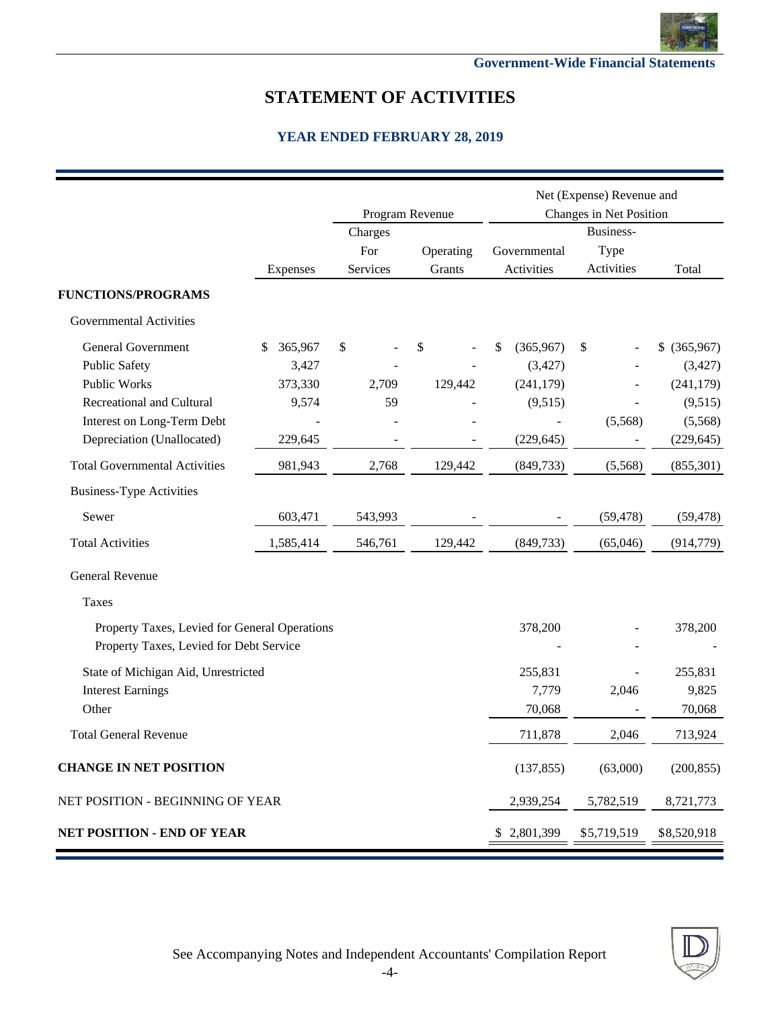

## **STATEMENT OF ACTIVITIES**

|                                               |               |          |                         |                          | Net (Expense) Revenue and                 |               |
|-----------------------------------------------|---------------|----------|-------------------------|--------------------------|-------------------------------------------|---------------|
|                                               |               |          | Program Revenue         |                          | Changes in Net Position                   |               |
|                                               |               | Charges  |                         |                          | Business-                                 |               |
|                                               |               | For      | Operating               | Governmental             | Type                                      |               |
|                                               | Expenses      | Services | Grants                  | Activities               | Activities                                | Total         |
| <b>FUNCTIONS/PROGRAMS</b>                     |               |          |                         |                          |                                           |               |
| <b>Governmental Activities</b>                |               |          |                         |                          |                                           |               |
| <b>General Government</b>                     | 365,967<br>\$ | \$       | $\sqrt[6]{\frac{1}{2}}$ | \$<br>(365,967)          | $\frac{1}{2}$<br>$\overline{\phantom{a}}$ | $$$ (365,967) |
| <b>Public Safety</b>                          | 3,427         |          |                         | (3, 427)                 |                                           | (3, 427)      |
| <b>Public Works</b>                           | 373,330       | 2,709    | 129,442                 | (241, 179)               |                                           | (241, 179)    |
| <b>Recreational and Cultural</b>              | 9,574         | 59       |                         | (9,515)                  |                                           | (9,515)       |
| Interest on Long-Term Debt                    |               |          |                         | $\overline{\phantom{a}}$ | (5,568)                                   | (5,568)       |
| Depreciation (Unallocated)                    | 229,645       |          |                         | (229, 645)               |                                           | (229, 645)    |
| <b>Total Governmental Activities</b>          | 981,943       | 2,768    | 129,442                 | (849,733)                | (5,568)                                   | (855, 301)    |
| <b>Business-Type Activities</b>               |               |          |                         |                          |                                           |               |
| Sewer                                         | 603,471       | 543,993  |                         |                          | (59, 478)                                 | (59, 478)     |
| <b>Total Activities</b>                       | 1,585,414     | 546,761  | 129,442                 | (849, 733)               | (65,046)                                  | (914, 779)    |
| General Revenue                               |               |          |                         |                          |                                           |               |
| Taxes                                         |               |          |                         |                          |                                           |               |
| Property Taxes, Levied for General Operations |               |          |                         | 378,200                  |                                           | 378,200       |
| Property Taxes, Levied for Debt Service       |               |          |                         |                          |                                           |               |
| State of Michigan Aid, Unrestricted           |               |          |                         | 255,831                  |                                           | 255,831       |
| <b>Interest Earnings</b>                      |               |          |                         | 7,779                    | 2,046                                     | 9,825         |
| Other                                         |               |          |                         | 70,068                   |                                           | 70,068        |
| <b>Total General Revenue</b>                  |               |          |                         | 711,878                  | 2,046                                     | 713,924       |
| <b>CHANGE IN NET POSITION</b>                 |               |          |                         | (137, 855)               | (63,000)                                  | (200, 855)    |
| NET POSITION - BEGINNING OF YEAR              |               |          |                         | 2,939,254                | 5,782,519                                 | 8,721,773     |
| <b>NET POSITION - END OF YEAR</b>             |               |          |                         | \$2,801,399              | \$5,719,519                               | \$8,520,918   |

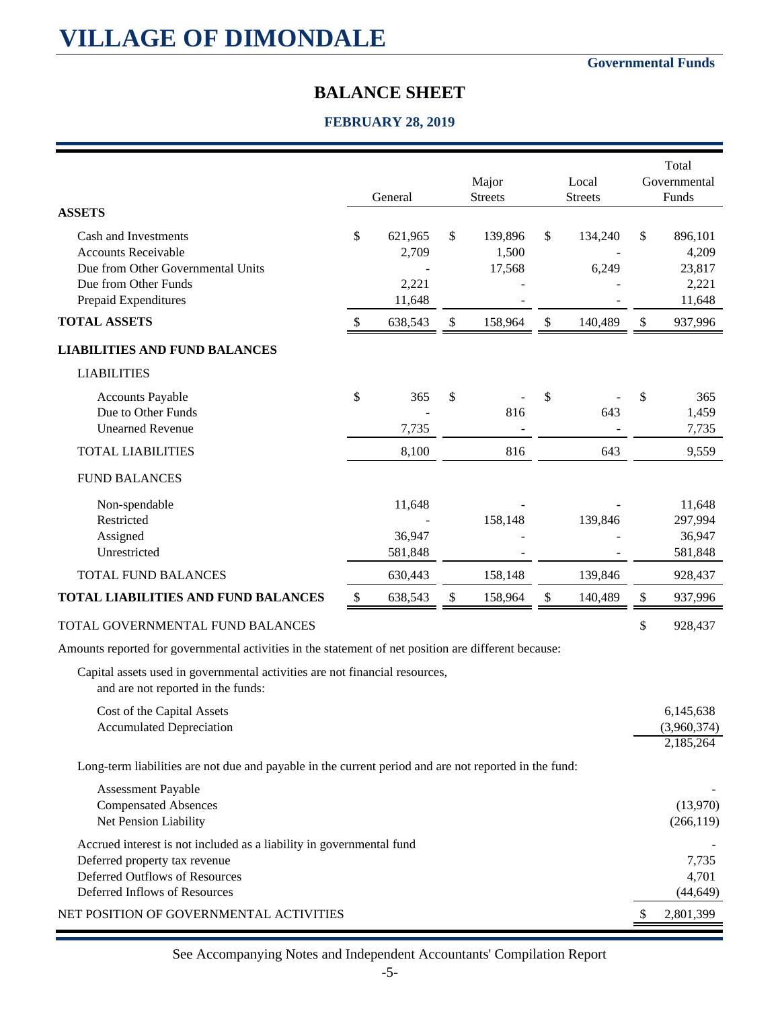#### **Governmental Funds**

## **BALANCE SHEET**

### **FEBRUARY 28, 2019**

| <b>ASSETS</b>                                                                                                                                                            |                           | General                             | Major<br><b>Streets</b>          | Local<br><b>Streets</b> | Total<br>Governmental<br>Funds                      |
|--------------------------------------------------------------------------------------------------------------------------------------------------------------------------|---------------------------|-------------------------------------|----------------------------------|-------------------------|-----------------------------------------------------|
| Cash and Investments<br><b>Accounts Receivable</b><br>Due from Other Governmental Units<br>Due from Other Funds<br>Prepaid Expenditures                                  | \$                        | 621,965<br>2,709<br>2,221<br>11,648 | \$<br>139,896<br>1,500<br>17,568 | \$<br>134,240<br>6,249  | \$<br>896,101<br>4,209<br>23,817<br>2,221<br>11,648 |
| <b>TOTAL ASSETS</b>                                                                                                                                                      | $\sqrt[6]{\frac{1}{2}}$   | 638,543                             | \$<br>158,964                    | \$<br>140,489           | \$<br>937,996                                       |
| <b>LIABILITIES AND FUND BALANCES</b>                                                                                                                                     |                           |                                     |                                  |                         |                                                     |
| <b>LIABILITIES</b>                                                                                                                                                       |                           |                                     |                                  |                         |                                                     |
| <b>Accounts Payable</b><br>Due to Other Funds<br><b>Unearned Revenue</b>                                                                                                 | \$                        | 365<br>7,735                        | \$<br>816                        | \$<br>643               | \$<br>365<br>1,459<br>7,735                         |
| <b>TOTAL LIABILITIES</b>                                                                                                                                                 |                           | 8,100                               | 816                              | 643                     | 9,559                                               |
| <b>FUND BALANCES</b>                                                                                                                                                     |                           |                                     |                                  |                         |                                                     |
| Non-spendable<br>Restricted<br>Assigned<br>Unrestricted                                                                                                                  |                           | 11,648<br>36,947<br>581,848         | 158,148                          | 139,846                 | 11,648<br>297,994<br>36,947<br>581,848              |
| TOTAL FUND BALANCES                                                                                                                                                      |                           | 630,443                             | 158,148                          | 139,846                 | 928,437                                             |
| TOTAL LIABILITIES AND FUND BALANCES                                                                                                                                      | $\boldsymbol{\mathsf{S}}$ | 638,543                             | \$<br>158,964                    | \$<br>140,489           | \$<br>937,996                                       |
| TOTAL GOVERNMENTAL FUND BALANCES                                                                                                                                         |                           |                                     |                                  |                         | \$<br>928,437                                       |
| Amounts reported for governmental activities in the statement of net position are different because:                                                                     |                           |                                     |                                  |                         |                                                     |
| Capital assets used in governmental activities are not financial resources,<br>and are not reported in the funds:                                                        |                           |                                     |                                  |                         |                                                     |
| Cost of the Capital Assets<br><b>Accumulated Depreciation</b>                                                                                                            |                           |                                     |                                  |                         | 6,145,638<br>(3,960,374)<br>2,185,264               |
| Long-term liabilities are not due and payable in the current period and are not reported in the fund:                                                                    |                           |                                     |                                  |                         |                                                     |
| Assessment Payable<br><b>Compensated Absences</b><br>Net Pension Liability                                                                                               |                           |                                     |                                  |                         | (13,970)<br>(266, 119)                              |
| Accrued interest is not included as a liability in governmental fund<br>Deferred property tax revenue<br>Deferred Outflows of Resources<br>Deferred Inflows of Resources |                           |                                     |                                  |                         | 7,735<br>4,701<br>(44, 649)                         |
| NET POSITION OF GOVERNMENTAL ACTIVITIES                                                                                                                                  |                           |                                     |                                  |                         | \$<br>2,801,399                                     |

See Accompanying Notes and Independent Accountants' Compilation Report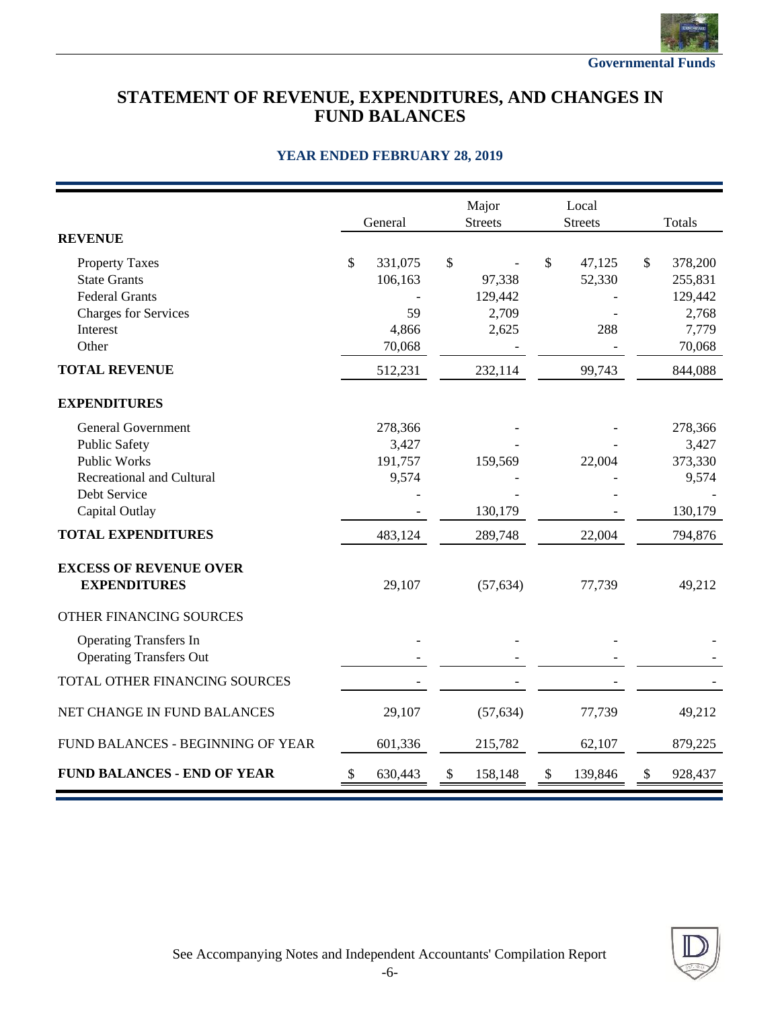

## **STATEMENT OF REVENUE, EXPENDITURES, AND CHANGES IN FUND BALANCES**

|                                                                                                                              | General                              |       | Major<br><b>Streets</b>    |                           | Local<br><b>Streets</b> | <b>Totals</b>                                |
|------------------------------------------------------------------------------------------------------------------------------|--------------------------------------|-------|----------------------------|---------------------------|-------------------------|----------------------------------------------|
| <b>REVENUE</b>                                                                                                               |                                      |       |                            |                           |                         |                                              |
| <b>Property Taxes</b><br><b>State Grants</b><br><b>Federal Grants</b><br><b>Charges for Services</b>                         | \$<br>331,075<br>106,163<br>59       | \$    | 97,338<br>129,442<br>2,709 | \$                        | 47,125<br>52,330        | \$<br>378,200<br>255,831<br>129,442<br>2,768 |
| Interest<br>Other                                                                                                            | 4,866<br>70,068                      |       | 2,625                      |                           | 288                     | 7,779<br>70,068                              |
| <b>TOTAL REVENUE</b>                                                                                                         | 512,231                              |       | 232,114                    |                           | 99,743                  | 844,088                                      |
| <b>EXPENDITURES</b>                                                                                                          |                                      |       |                            |                           |                         |                                              |
| <b>General Government</b><br><b>Public Safety</b><br><b>Public Works</b><br><b>Recreational and Cultural</b><br>Debt Service | 278,366<br>3,427<br>191,757<br>9,574 |       | 159,569                    |                           | 22,004                  | 278,366<br>3,427<br>373,330<br>9,574         |
| Capital Outlay                                                                                                               |                                      |       | 130,179                    |                           |                         | 130,179                                      |
| <b>TOTAL EXPENDITURES</b>                                                                                                    | 483,124                              |       | 289,748                    |                           | 22,004                  | 794,876                                      |
| <b>EXCESS OF REVENUE OVER</b><br><b>EXPENDITURES</b>                                                                         | 29,107                               |       | (57, 634)                  |                           | 77,739                  | 49,212                                       |
| OTHER FINANCING SOURCES                                                                                                      |                                      |       |                            |                           |                         |                                              |
| <b>Operating Transfers In</b><br><b>Operating Transfers Out</b>                                                              |                                      |       |                            |                           |                         |                                              |
| TOTAL OTHER FINANCING SOURCES                                                                                                |                                      |       |                            |                           |                         |                                              |
| NET CHANGE IN FUND BALANCES                                                                                                  | 29,107                               |       | (57, 634)                  |                           | 77,739                  | 49,212                                       |
| FUND BALANCES - BEGINNING OF YEAR                                                                                            | 601,336                              |       | 215,782                    |                           | 62,107                  | 879,225                                      |
| <b>FUND BALANCES - END OF YEAR</b>                                                                                           | \$<br>630,443                        | $\$\$ | 158,148                    | $\boldsymbol{\mathsf{S}}$ | 139,846                 | \$<br>928,437                                |

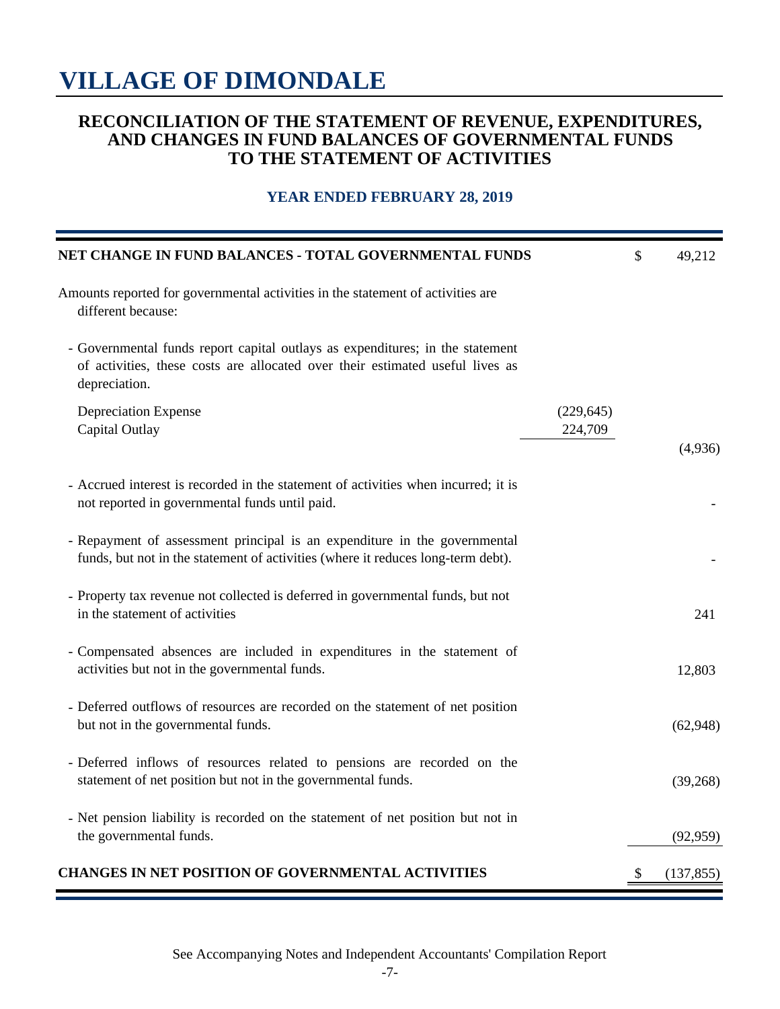## **RECONCILIATION OF THE STATEMENT OF REVENUE, EXPENDITURES, AND CHANGES IN FUND BALANCES OF GOVERNMENTAL FUNDS TO THE STATEMENT OF ACTIVITIES**

| NET CHANGE IN FUND BALANCES - TOTAL GOVERNMENTAL FUNDS                                                                                                                          |                       | \$<br>49,212     |
|---------------------------------------------------------------------------------------------------------------------------------------------------------------------------------|-----------------------|------------------|
| Amounts reported for governmental activities in the statement of activities are<br>different because:                                                                           |                       |                  |
| - Governmental funds report capital outlays as expenditures; in the statement<br>of activities, these costs are allocated over their estimated useful lives as<br>depreciation. |                       |                  |
| <b>Depreciation Expense</b><br>Capital Outlay                                                                                                                                   | (229, 645)<br>224,709 | (4,936)          |
| - Accrued interest is recorded in the statement of activities when incurred; it is<br>not reported in governmental funds until paid.                                            |                       |                  |
| - Repayment of assessment principal is an expenditure in the governmental<br>funds, but not in the statement of activities (where it reduces long-term debt).                   |                       |                  |
| - Property tax revenue not collected is deferred in governmental funds, but not<br>in the statement of activities                                                               |                       | 241              |
| - Compensated absences are included in expenditures in the statement of<br>activities but not in the governmental funds.                                                        |                       | 12,803           |
| - Deferred outflows of resources are recorded on the statement of net position<br>but not in the governmental funds.                                                            |                       | (62,948)         |
| - Deferred inflows of resources related to pensions are recorded on the<br>statement of net position but not in the governmental funds.                                         |                       | (39,268)         |
| - Net pension liability is recorded on the statement of net position but not in<br>the governmental funds.                                                                      |                       | (92, 959)        |
| <b>CHANGES IN NET POSITION OF GOVERNMENTAL ACTIVITIES</b>                                                                                                                       |                       | \$<br>(137, 855) |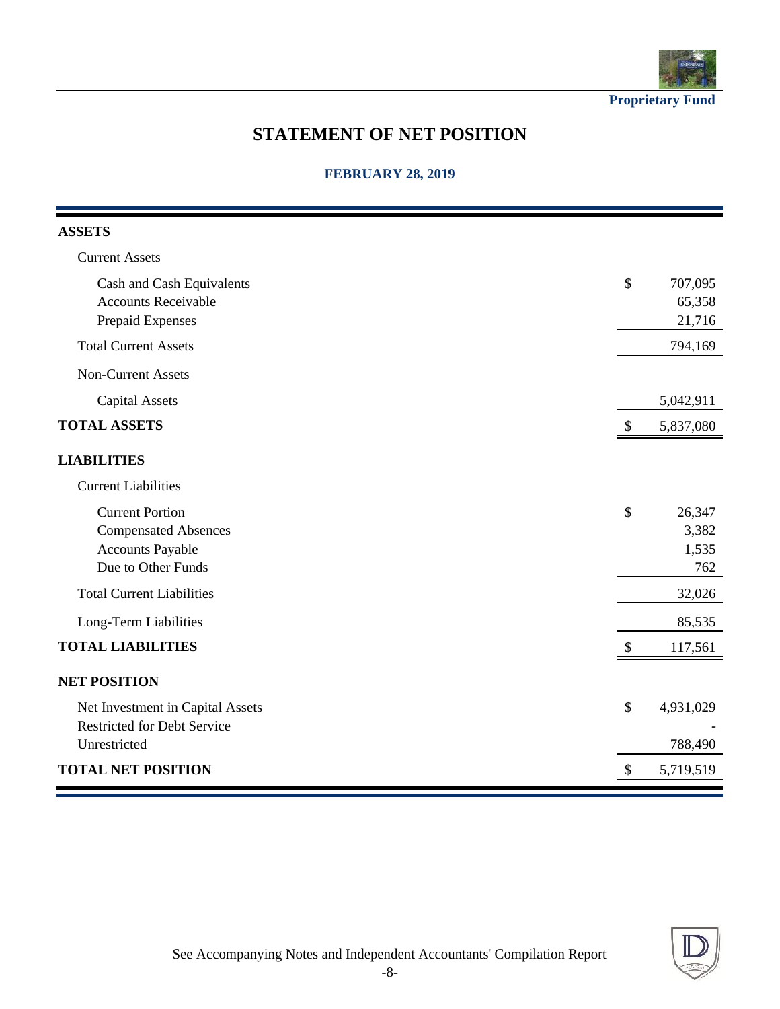

**Proprietary Fund**

## **STATEMENT OF NET POSITION**

#### **FEBRUARY 28, 2019**

| <b>ASSETS</b>                      |                                        |
|------------------------------------|----------------------------------------|
| <b>Current Assets</b>              |                                        |
| Cash and Cash Equivalents          | \$<br>707,095                          |
| <b>Accounts Receivable</b>         | 65,358                                 |
| Prepaid Expenses                   | 21,716                                 |
| <b>Total Current Assets</b>        | 794,169                                |
| <b>Non-Current Assets</b>          |                                        |
| <b>Capital Assets</b>              | 5,042,911                              |
| <b>TOTAL ASSETS</b>                | 5,837,080<br>$\mathcal{S}$             |
| <b>LIABILITIES</b>                 |                                        |
| <b>Current Liabilities</b>         |                                        |
| <b>Current Portion</b>             | \$<br>26,347                           |
| <b>Compensated Absences</b>        | 3,382                                  |
| <b>Accounts Payable</b>            | 1,535                                  |
| Due to Other Funds                 | 762                                    |
| <b>Total Current Liabilities</b>   | 32,026                                 |
| Long-Term Liabilities              | 85,535                                 |
| <b>TOTAL LIABILITIES</b>           | $\mathcal{S}$<br>117,561               |
| <b>NET POSITION</b>                |                                        |
| Net Investment in Capital Assets   | \$<br>4,931,029                        |
| <b>Restricted for Debt Service</b> |                                        |
| Unrestricted                       | 788,490                                |
| <b>TOTAL NET POSITION</b>          | $\boldsymbol{\mathsf{S}}$<br>5,719,519 |

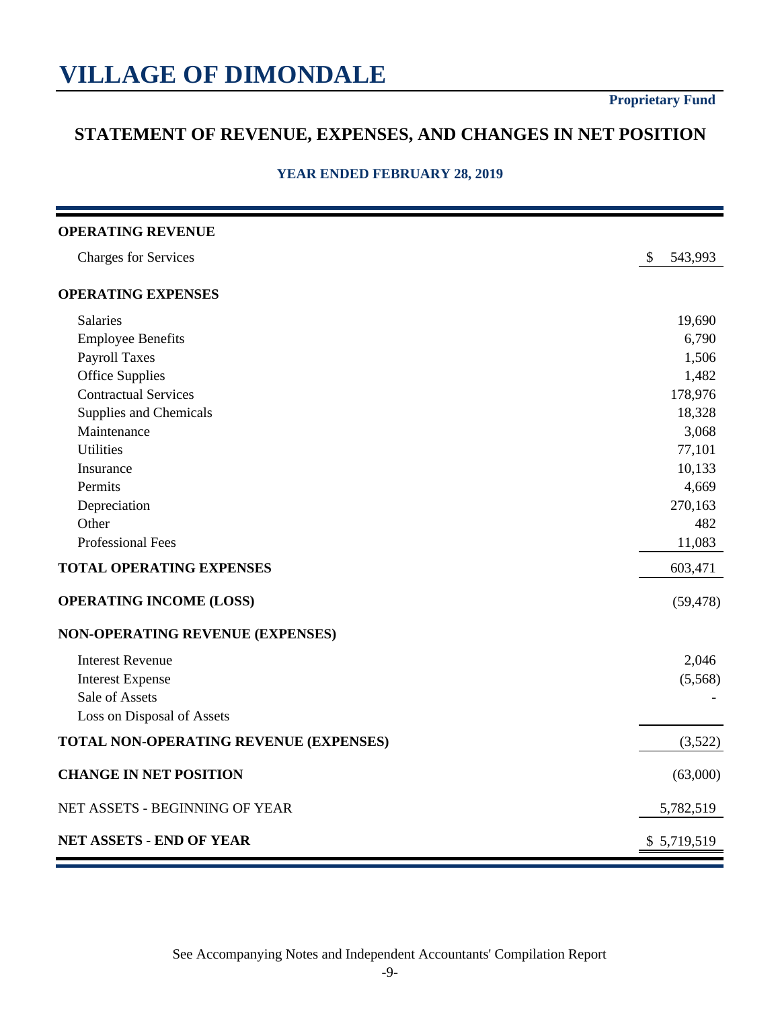## **STATEMENT OF REVENUE, EXPENSES, AND CHANGES IN NET POSITION**

| <b>OPERATING REVENUE</b>               |               |
|----------------------------------------|---------------|
| <b>Charges for Services</b>            | \$<br>543,993 |
| <b>OPERATING EXPENSES</b>              |               |
| Salaries                               | 19,690        |
| <b>Employee Benefits</b>               | 6,790         |
| <b>Payroll Taxes</b>                   | 1,506         |
| <b>Office Supplies</b>                 | 1,482         |
| <b>Contractual Services</b>            | 178,976       |
| Supplies and Chemicals                 | 18,328        |
| Maintenance                            | 3,068         |
| <b>Utilities</b>                       | 77,101        |
| Insurance                              | 10,133        |
| Permits                                | 4,669         |
| Depreciation                           | 270,163       |
| Other                                  | 482           |
| <b>Professional Fees</b>               | 11,083        |
| <b>TOTAL OPERATING EXPENSES</b>        | 603,471       |
| <b>OPERATING INCOME (LOSS)</b>         | (59, 478)     |
| NON-OPERATING REVENUE (EXPENSES)       |               |
| <b>Interest Revenue</b>                | 2,046         |
| <b>Interest Expense</b>                | (5,568)       |
| Sale of Assets                         |               |
| Loss on Disposal of Assets             |               |
| TOTAL NON-OPERATING REVENUE (EXPENSES) | (3,522)       |
| <b>CHANGE IN NET POSITION</b>          | (63,000)      |
| NET ASSETS - BEGINNING OF YEAR         | 5,782,519     |
| NET ASSETS - END OF YEAR               | \$5,719,519   |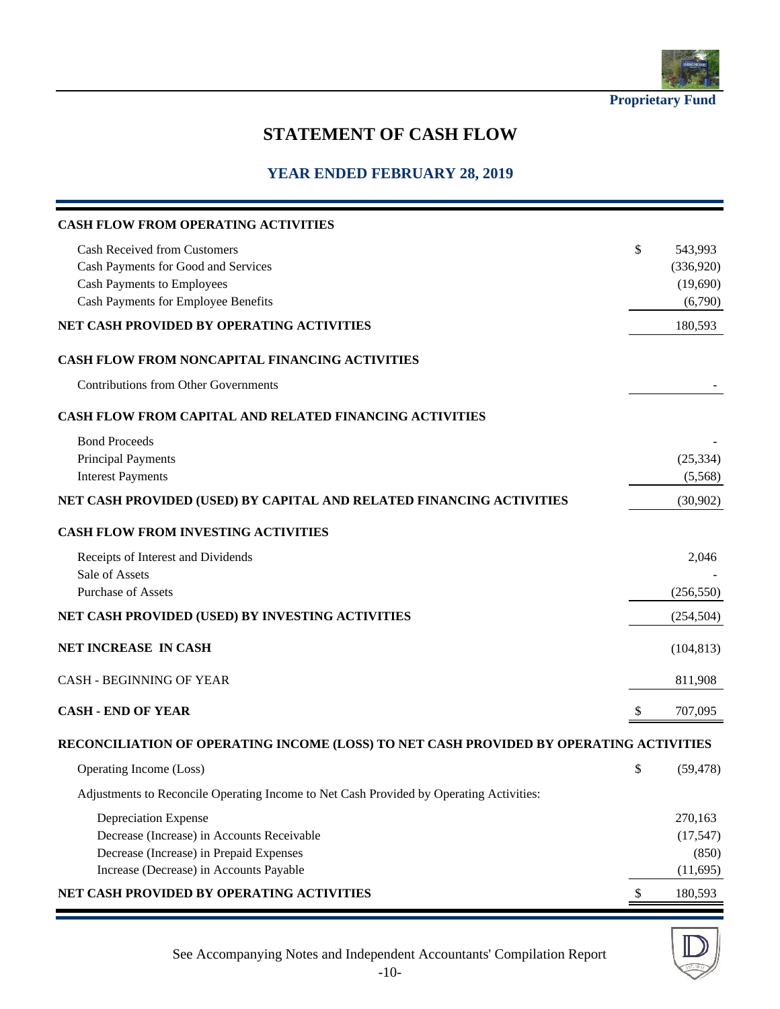

**Proprietary Fund**

## **STATEMENT OF CASH FLOW**

| <b>CASH FLOW FROM OPERATING ACTIVITIES</b>                                              |              |            |
|-----------------------------------------------------------------------------------------|--------------|------------|
| <b>Cash Received from Customers</b>                                                     | \$           | 543,993    |
| Cash Payments for Good and Services                                                     |              | (336,920)  |
| <b>Cash Payments to Employees</b>                                                       |              | (19,690)   |
| Cash Payments for Employee Benefits                                                     |              | (6,790)    |
| NET CASH PROVIDED BY OPERATING ACTIVITIES                                               |              | 180,593    |
| <b>CASH FLOW FROM NONCAPITAL FINANCING ACTIVITIES</b>                                   |              |            |
| <b>Contributions from Other Governments</b>                                             |              |            |
| <b>CASH FLOW FROM CAPITAL AND RELATED FINANCING ACTIVITIES</b>                          |              |            |
| <b>Bond Proceeds</b>                                                                    |              |            |
| <b>Principal Payments</b>                                                               |              | (25, 334)  |
| <b>Interest Payments</b>                                                                |              | (5,568)    |
| NET CASH PROVIDED (USED) BY CAPITAL AND RELATED FINANCING ACTIVITIES                    |              | (30,902)   |
| CASH FLOW FROM INVESTING ACTIVITIES                                                     |              |            |
| Receipts of Interest and Dividends                                                      |              | 2,046      |
| Sale of Assets                                                                          |              |            |
| <b>Purchase of Assets</b>                                                               |              | (256, 550) |
| NET CASH PROVIDED (USED) BY INVESTING ACTIVITIES                                        |              | (254, 504) |
| NET INCREASE IN CASH                                                                    |              | (104, 813) |
| <b>CASH - BEGINNING OF YEAR</b>                                                         |              | 811,908    |
| <b>CASH - END OF YEAR</b>                                                               | <sup>8</sup> | 707,095    |
| RECONCILIATION OF OPERATING INCOME (LOSS) TO NET CASH PROVIDED BY OPERATING ACTIVITIES  |              |            |
| Operating Income (Loss)                                                                 | \$           | (59, 478)  |
| Adjustments to Reconcile Operating Income to Net Cash Provided by Operating Activities: |              |            |
| Depreciation Expense                                                                    |              | 270,163    |
| Decrease (Increase) in Accounts Receivable                                              |              | (17, 547)  |
| Decrease (Increase) in Prepaid Expenses                                                 |              | (850)      |
| Increase (Decrease) in Accounts Payable                                                 |              | (11,695)   |
| NET CASH PROVIDED BY OPERATING ACTIVITIES                                               | \$           | 180,593    |

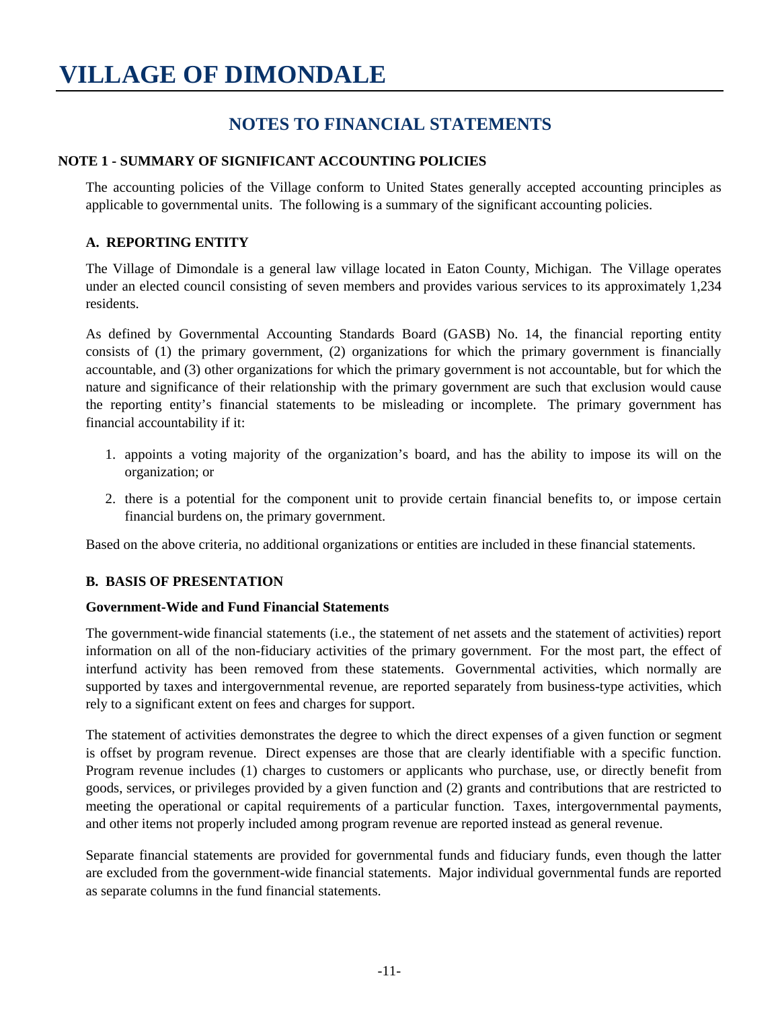## **NOTES TO FINANCIAL STATEMENTS**

#### **NOTE 1 - SUMMARY OF SIGNIFICANT ACCOUNTING POLICIES**

The accounting policies of the Village conform to United States generally accepted accounting principles as applicable to governmental units. The following is a summary of the significant accounting policies.

#### **A. REPORTING ENTITY**

The Village of Dimondale is a general law village located in Eaton County, Michigan. The Village operates under an elected council consisting of seven members and provides various services to its approximately 1,234 residents.

As defined by Governmental Accounting Standards Board (GASB) No. 14, the financial reporting entity consists of (1) the primary government, (2) organizations for which the primary government is financially accountable, and (3) other organizations for which the primary government is not accountable, but for which the nature and significance of their relationship with the primary government are such that exclusion would cause the reporting entity's financial statements to be misleading or incomplete. The primary government has financial accountability if it:

- 1. appoints a voting majority of the organization's board, and has the ability to impose its will on the organization; or
- 2. there is a potential for the component unit to provide certain financial benefits to, or impose certain financial burdens on, the primary government.

Based on the above criteria, no additional organizations or entities are included in these financial statements.

#### **B. BASIS OF PRESENTATION**

#### **Government-Wide and Fund Financial Statements**

The government-wide financial statements (i.e., the statement of net assets and the statement of activities) report information on all of the non-fiduciary activities of the primary government. For the most part, the effect of interfund activity has been removed from these statements. Governmental activities, which normally are supported by taxes and intergovernmental revenue, are reported separately from business-type activities, which rely to a significant extent on fees and charges for support.

The statement of activities demonstrates the degree to which the direct expenses of a given function or segment is offset by program revenue. Direct expenses are those that are clearly identifiable with a specific function. Program revenue includes (1) charges to customers or applicants who purchase, use, or directly benefit from goods, services, or privileges provided by a given function and (2) grants and contributions that are restricted to meeting the operational or capital requirements of a particular function. Taxes, intergovernmental payments, and other items not properly included among program revenue are reported instead as general revenue.

Separate financial statements are provided for governmental funds and fiduciary funds, even though the latter are excluded from the government-wide financial statements. Major individual governmental funds are reported as separate columns in the fund financial statements.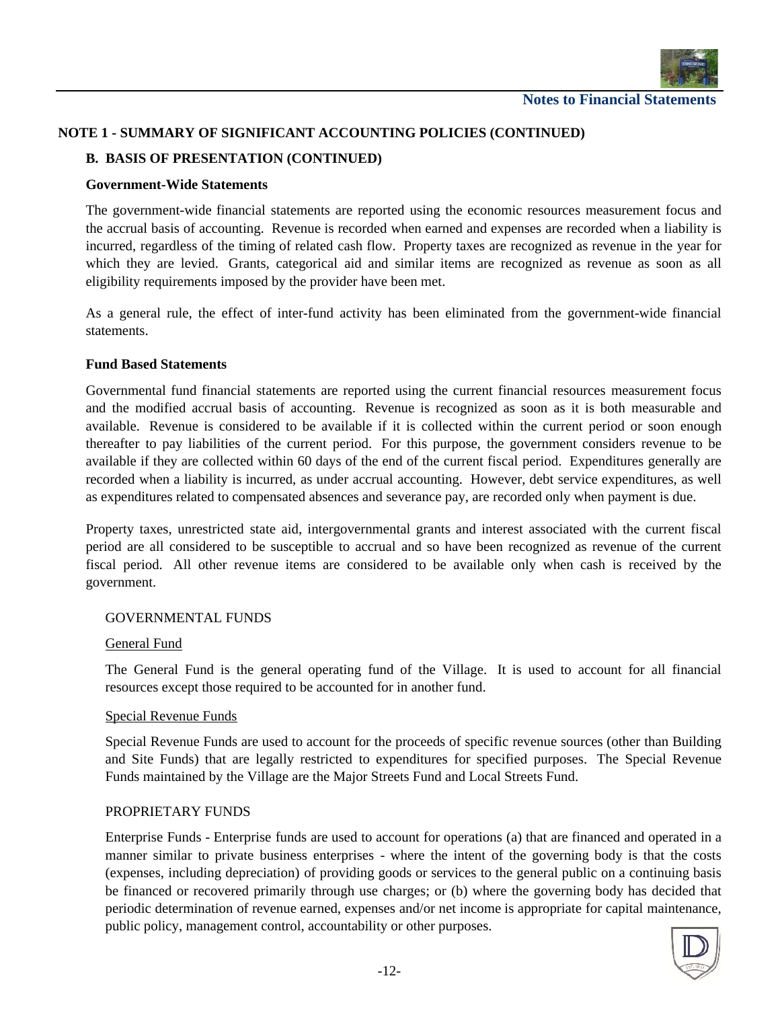

#### **NOTE 1 - SUMMARY OF SIGNIFICANT ACCOUNTING POLICIES (CONTINUED)**

#### **B. BASIS OF PRESENTATION (CONTINUED)**

#### **Government-Wide Statements**

The government-wide financial statements are reported using the economic resources measurement focus and the accrual basis of accounting. Revenue is recorded when earned and expenses are recorded when a liability is incurred, regardless of the timing of related cash flow. Property taxes are recognized as revenue in the year for which they are levied. Grants, categorical aid and similar items are recognized as revenue as soon as all eligibility requirements imposed by the provider have been met.

As a general rule, the effect of inter-fund activity has been eliminated from the government-wide financial statements.

#### **Fund Based Statements**

Governmental fund financial statements are reported using the current financial resources measurement focus and the modified accrual basis of accounting. Revenue is recognized as soon as it is both measurable and available. Revenue is considered to be available if it is collected within the current period orsoon enough thereafter to pay liabilities of the current period. For this purpose, the government considers revenue to be available if they are collected within 60 days of the end of the current fiscal period. Expenditures generally are recorded when a liability is incurred, as under accrual accounting. However, debt service expenditures, as well as expenditures related to compensated absences and severance pay, are recorded only when payment is due.

Property taxes, unrestricted state aid, intergovernmental grants and interest associated with the current fiscal period are all considered to be susceptible to accrual and so have been recognized as revenue of the current fiscal period. All other revenue items are considered to be available only when cash is received by the government.

#### GOVERNMENTAL FUNDS

#### General Fund

The General Fund is the general operating fund of the Village. It is used to account for all financial resources except those required to be accounted for in another fund.

#### Special Revenue Funds

Special Revenue Funds are used to account for the proceeds of specific revenue sources (other than Building and Site Funds) that are legally restricted to expenditures for specified purposes. The Special Revenue Funds maintained by the Village are the Major Streets Fund and Local Streets Fund.

#### PROPRIETARY FUNDS

Enterprise Funds - Enterprise funds are used to account for operations (a) that are financed and operated in a manner similar to private business enterprises - where the intent of the governing body is that the costs (expenses, including depreciation) of providing goods or services to the general public on a continuing basis be financed or recovered primarily through use charges; or (b) where the governing body has decided that periodic determination of revenue earned, expenses and/or net income is appropriate for capital maintenance, public policy, management control, accountability or other purposes.

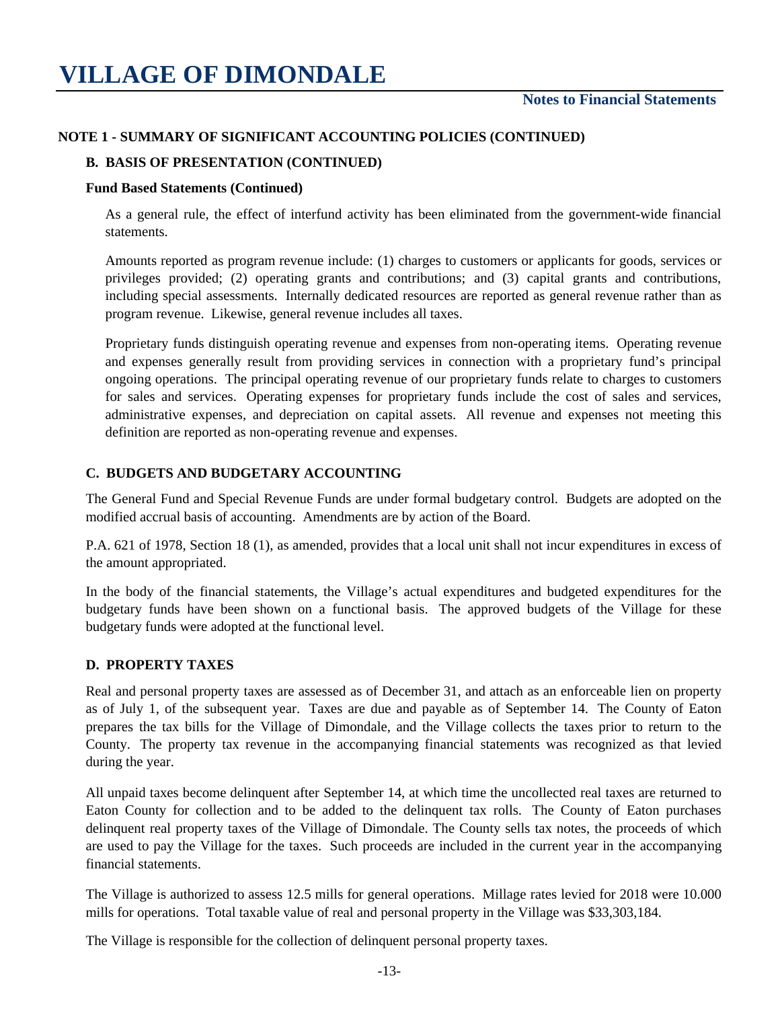#### **NOTE 1 - SUMMARY OF SIGNIFICANT ACCOUNTING POLICIES (CONTINUED)**

#### **B. BASIS OF PRESENTATION (CONTINUED)**

#### **Fund Based Statements (Continued)**

As a general rule, the effect of interfund activity has been eliminated from the government-wide financial statements.

Amounts reported as program revenue include: (1) charges to customers or applicants for goods, services or privileges provided; (2) operating grants and contributions; and (3) capital grants and contributions, including special assessments. Internally dedicated resources are reported as general revenue rather than as program revenue. Likewise, general revenue includes all taxes.

Proprietary funds distinguish operating revenue and expenses from non-operating items. Operating revenue and expenses generally result from providing services in connection with a proprietary fund's principal ongoing operations. The principal operating revenue of our proprietary funds relate to charges to customers for sales and services. Operating expenses for proprietary funds include the cost of sales and services, administrative expenses, and depreciation on capital assets. All revenue and expenses not meeting this definition are reported as non-operating revenue and expenses.

#### **C. BUDGETS AND BUDGETARY ACCOUNTING**

The General Fund and Special Revenue Funds are under formal budgetary control. Budgets are adopted on the modified accrual basis of accounting. Amendments are by action of the Board.

P.A. 621 of 1978, Section 18 (1), as amended, provides that a local unit shall not incur expenditures in excess of the amount appropriated.

In the body of the financial statements, the Village's actual expenditures and budgeted expenditures for the budgetary funds have been shown on a functional basis. The approved budgets of the Village for these budgetary funds were adopted at the functional level.

#### **D. PROPERTY TAXES**

Real and personal property taxes are assessed as of December 31, and attach as an enforceable lien on property as of July 1, of the subsequent year. Taxes are due and payable as of September 14. The County of Eaton prepares the tax bills for the Village of Dimondale, and the Village collects the taxes prior to return to the County. The property tax revenue in the accompanying financial statements was recognized as that levied during the year.

All unpaid taxes become delinquent after September 14, at which time the uncollected real taxes are returned to Eaton County for collection and to be added to the delinquent tax rolls. The County of Eaton purchases delinquent real property taxes of the Village of Dimondale. The County sells tax notes, the proceeds of which are used to pay the Village for the taxes. Such proceeds are included in the current year in the accompanying financial statements.

The Village is authorized to assess 12.5 mills for general operations. Millage rates levied for 2018 were 10.000 mills for operations. Total taxable value of real and personal property in the Village was \$33,303,184.

The Village is responsible for the collection of delinquent personal property taxes.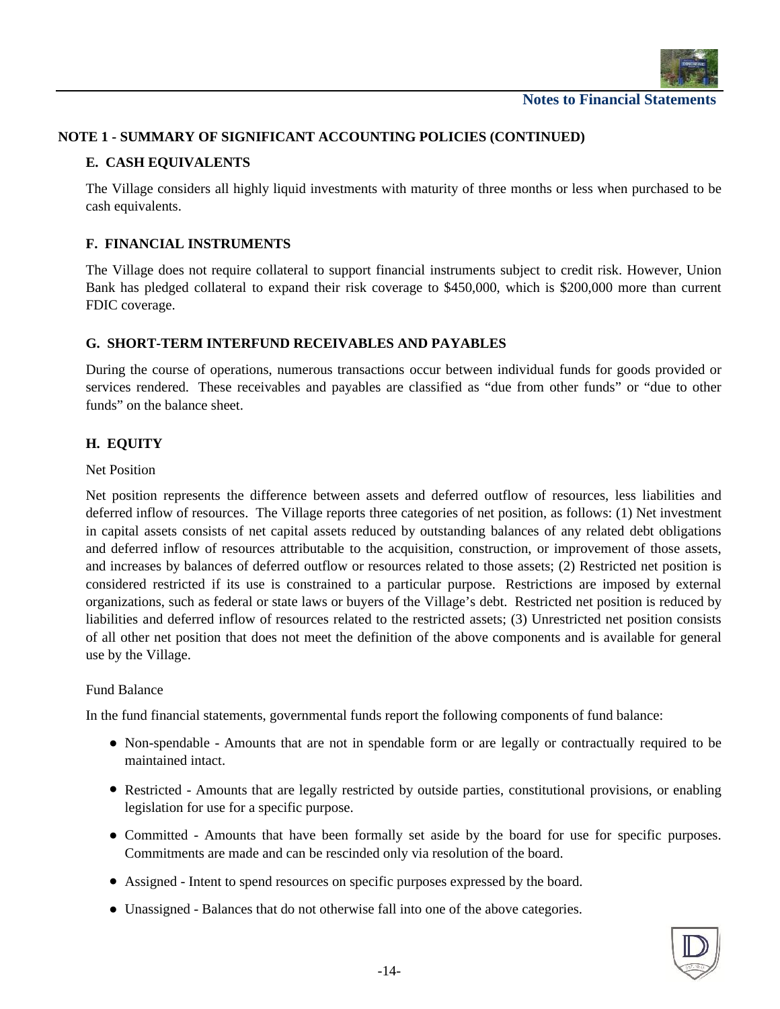

#### **NOTE 1 - SUMMARY OF SIGNIFICANT ACCOUNTING POLICIES (CONTINUED)**

#### **E. CASH EQUIVALENTS**

The Village considers all highly liquid investments with maturity of three months or less when purchased to be cash equivalents.

#### **F. FINANCIAL INSTRUMENTS**

The Village does not require collateral to support financial instruments subject to credit risk. However, Union Bank has pledged collateral to expand their risk coverage to \$450,000, which is \$200,000 more than current FDIC coverage.

#### **G. SHORT-TERM INTERFUND RECEIVABLES AND PAYABLES**

During the course of operations, numerous transactions occur between individual funds for goods provided or services rendered. These receivables and payables are classified as "due from other funds" or "due to other funds" on the balance sheet.

#### **H. EQUITY**

#### Net Position

Net position represents the difference between assets and deferred outflow of resources, less liabilities and deferred inflow of resources. The Village reports three categories of net position, as follows: (1) Net investment in capital assets consists of net capital assets reduced by outstanding balances of any related debt obligations and deferred inflow of resources attributable to the acquisition, construction, or improvement of those assets, and increases by balances of deferred outflow or resources related to those assets; (2) Restricted net position is considered restricted if its use is constrained to a particular purpose. Restrictions are imposed by external organizations, such as federal or state laws or buyers of the Village's debt. Restricted net position is reduced by liabilities and deferred inflow of resources related to the restricted assets; (3) Unrestricted net position consists of all other net position that does not meet the definition of the above components and is available for general use by the Village.

#### Fund Balance

In the fund financial statements, governmental funds report the following components of fund balance:

- Non-spendable Amounts that are not in spendable form or are legally or contractually required to be maintained intact.
- Restricted Amounts that are legally restricted by outside parties, constitutional provisions, or enabling legislation for use for a specific purpose.
- Committed Amounts that have been formally set aside by the board for use for specific purposes. Commitments are made and can be rescinded only via resolution of the board.
- Assigned Intent to spend resources on specific purposes expressed by the board.
- Unassigned Balances that do not otherwise fall into one of the above categories.

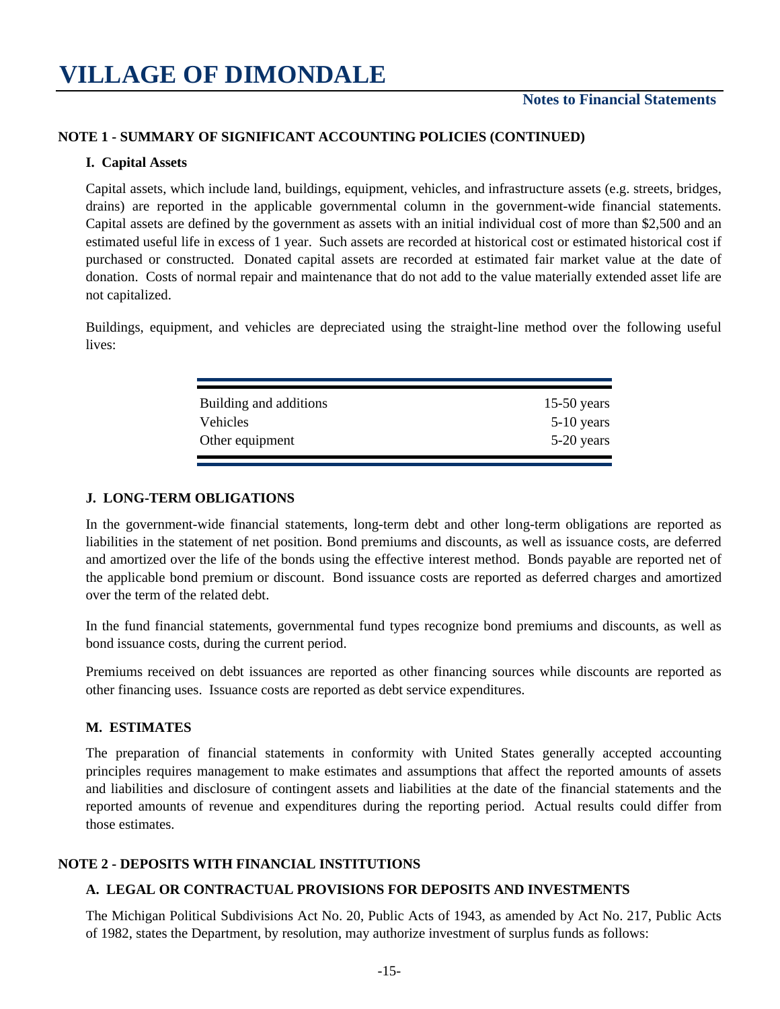#### **NOTE 1 - SUMMARY OF SIGNIFICANT ACCOUNTING POLICIES (CONTINUED)**

#### **I. Capital Assets**

Capital assets, which include land, buildings, equipment, vehicles, and infrastructure assets (e.g. streets, bridges, drains) are reported in the applicable governmental column in the government-wide financial statements. Capital assets are defined by the government as assets with an initial individual cost of more than \$2,500 and an estimated useful life in excess of 1 year. Such assets are recorded at historical cost or estimated historical cost if purchased or constructed. Donated capital assets are recorded at estimated fair market value at the date of donation. Costs of normal repair and maintenance that do not add to the value materially extended asset life are not capitalized.

Buildings, equipment, and vehicles are depreciated using the straight-line method over the following useful lives:

| Building and additions | $15-50$ years |
|------------------------|---------------|
| <b>Vehicles</b>        | $5-10$ years  |
| Other equipment        | $5-20$ years  |
|                        |               |

#### **J. LONG-TERM OBLIGATIONS**

In the government-wide financial statements, long-term debt and other long-term obligations are reported as liabilities in the statement of net position. Bond premiums and discounts, as well as issuance costs, are deferred and amortized over the life of the bonds using the effective interest method. Bonds payable are reported netof the applicable bond premium or discount. Bond issuance costs are reported as deferred charges and amortized over the term of the related debt.

In the fund financial statements, governmental fund types recognize bond premiums and discounts, as well as bond issuance costs, during the current period.

Premiums received on debt issuances are reported as other financing sources while discounts are reported as other financing uses. Issuance costs are reported as debt service expenditures.

#### **M. ESTIMATES**

The preparation of financial statements in conformity with United States generally accepted accounting principles requires management to make estimates and assumptions that affect the reported amounts of assets and liabilities and disclosure of contingent assets and liabilities at the date of the financial statements and the reported amounts of revenue and expenditures during the reporting period. Actual results could differ from those estimates.

#### **NOTE 2 - DEPOSITS WITH FINANCIAL INSTITUTIONS**

#### **A. LEGAL OR CONTRACTUAL PROVISIONS FOR DEPOSITS AND INVESTMENTS**

The Michigan Political Subdivisions Act No. 20, Public Acts of 1943, as amended by Act No. 217, Public Acts of 1982, states the Department, by resolution, may authorize investment of surplus funds as follows: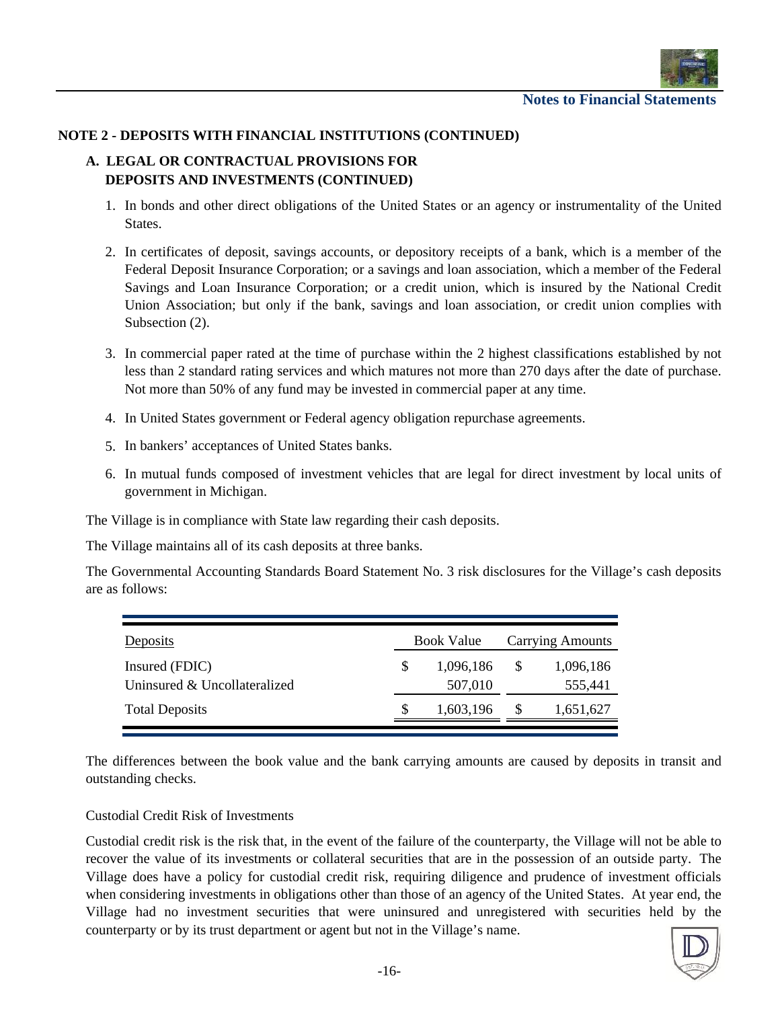

#### **NOTE 2 - DEPOSITS WITH FINANCIAL INSTITUTIONS (CONTINUED)**

#### **A. LEGAL OR CONTRACTUAL PROVISIONS FOR DEPOSITS AND INVESTMENTS (CONTINUED)**

- 1. In bonds and other direct obligations of the United States or an agency or instrumentality of the United States.
- 2. In certificates of deposit, savings accounts, or depository receipts of a bank, which is a member of the Federal Deposit Insurance Corporation; or a savings and loan association, which a member of the Federal Savings and Loan Insurance Corporation; or a credit union, which is insured by the National Credit Union Association; but only if the bank, savings and loan association, or credit union complies with Subsection (2).
- 3. In commercial paper rated at the time of purchase within the 2 highest classifications established by not less than 2 standard rating services and which matures not more than 270 days after the date of purchase. Not more than 50% of any fund may be invested in commercial paper at any time.
- 4. In United States government or Federal agency obligation repurchase agreements.
- 5. In bankers' acceptances of United States banks.
- 6. In mutual funds composed of investment vehicles that are legal for direct investment by local units of government in Michigan.

The Village is in compliance with State law regarding their cash deposits.

The Village maintains all of its cash deposits at three banks.

The Governmental Accounting Standards Board Statement No. 3 risk disclosures for the Village's cash deposits are as follows:

| Deposits                                       | <b>Book Value</b> |                      |  | <b>Carrying Amounts</b> |  |  |  |  |
|------------------------------------------------|-------------------|----------------------|--|-------------------------|--|--|--|--|
| Insured (FDIC)<br>Uninsured & Uncollateralized |                   | 1,096,186<br>507,010 |  | 1,096,186<br>555,441    |  |  |  |  |
| <b>Total Deposits</b>                          |                   | 1,603,196            |  | 1,651,627               |  |  |  |  |

The differences between the book value and the bank carrying amounts are caused by deposits in transit and outstanding checks.

#### Custodial Credit Risk of Investments

Custodial credit risk is the risk that, in the event of the failure of the counterparty, the Village will not be able to recover the value of its investments or collateral securities that are in the possession of an outside party. The Village does have a policy for custodial credit risk, requiring diligence and prudence of investment officials when considering investments in obligations other than those of an agency of the United States. At year end, the Village had no investment securities that were uninsured and unregistered with securities held by the counterparty or by its trust department or agent but not in the Village's name.

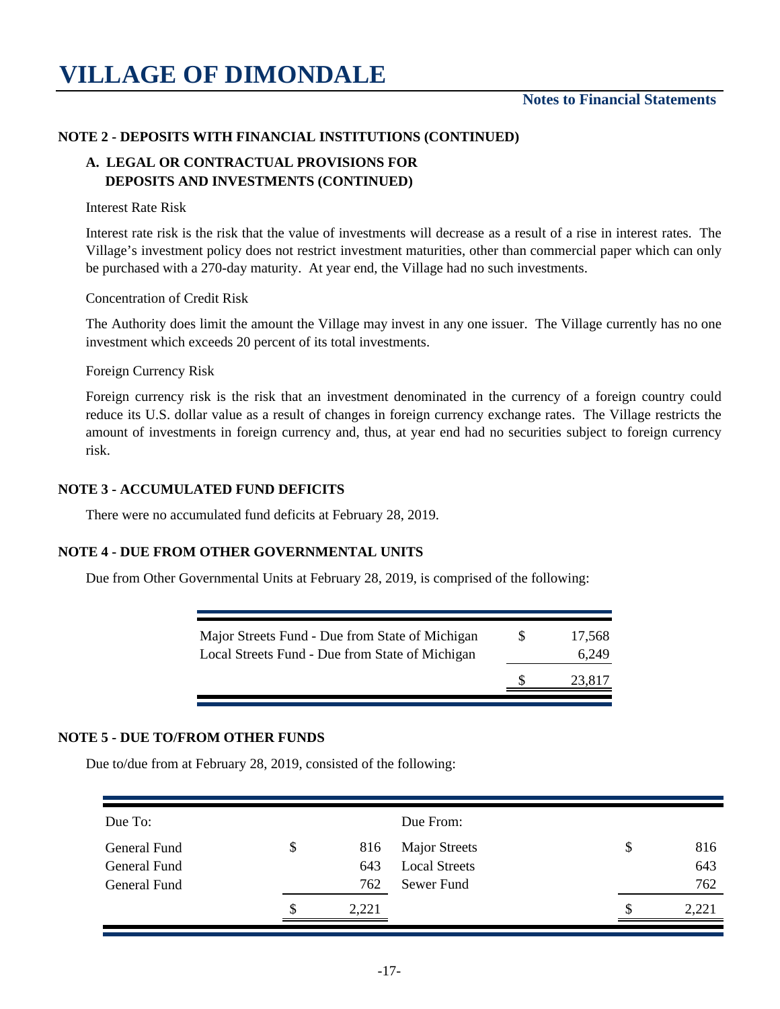#### **NOTE 2 - DEPOSITS WITH FINANCIAL INSTITUTIONS (CONTINUED)**

#### **A. LEGAL OR CONTRACTUAL PROVISIONS FOR DEPOSITS AND INVESTMENTS (CONTINUED)**

Interest Rate Risk

Interest rate risk is the risk that the value of investments will decrease as a result of a rise in interest rates. The Village's investment policy does not restrict investment maturities, other than commercial paper which can only be purchased with a 270-day maturity. At year end, the Village had no such investments.

Concentration of Credit Risk

The Authority does limit the amount the Village may invest in any one issuer. The Village currently has no one investment which exceeds 20 percent of its total investments.

Foreign Currency Risk

Foreign currency risk is the risk that an investment denominated in the currency of a foreign country could reduce its U.S. dollar value as a result of changes in foreign currency exchange rates. The Village restricts the amount of investments in foreign currency and, thus, at year end had no securities subject to foreign currency risk.

#### **NOTE 3 - ACCUMULATED FUND DEFICITS**

There were no accumulated fund deficits at February 28, 2019.

#### **NOTE 4 - DUE FROM OTHER GOVERNMENTAL UNITS**

Due from Other Governmental Units at February 28, 2019, is comprised of the following:

|                                                 | 23,817 |
|-------------------------------------------------|--------|
| Local Streets Fund - Due from State of Michigan | 6.249  |
| Major Streets Fund - Due from State of Michigan | 17,568 |

#### **NOTE 5 - DUE TO/FROM OTHER FUNDS**

Due to/due from at February 28, 2019, consisted of the following:

| Due To:      |           | Due From:            |           |
|--------------|-----------|----------------------|-----------|
| General Fund | \$<br>816 | <b>Major Streets</b> | \$<br>816 |
| General Fund | 643       | <b>Local Streets</b> | 643       |
| General Fund | 762       | Sewer Fund           | 762       |
|              | 2,221     |                      | 2,221     |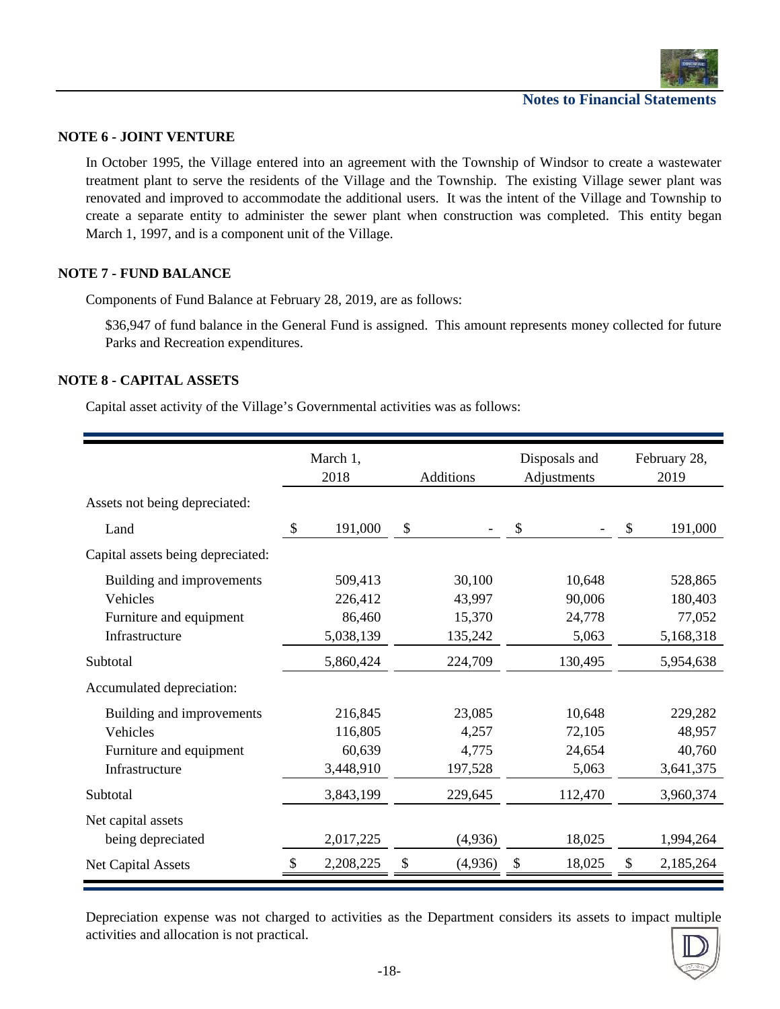

#### **NOTE 6 - JOINT VENTURE**

In October 1995, the Village entered into an agreement with the Township of Windsor to create a wastewater treatment plant to serve the residents of the Village and the Township. The existing Village sewer plant was renovated and improved to accommodate the additional users. It was the intent of the Village and Township to create a separate entity to administer the sewer plant when construction was completed. This entity began March 1, 1997, and is a component unit of the Village.

#### **NOTE 7 - FUND BALANCE**

Components of Fund Balance at February 28, 2019, are as follows:

\$36,947 of fund balance in the General Fund is assigned. This amount represents money collected for future Parks and Recreation expenditures.

#### **NOTE 8 - CAPITAL ASSETS**

Capital asset activity of the Village's Governmental activities was as follows:

|                                   | March 1,<br>2018 | <b>Additions</b> | Disposals and<br>Adjustments | February 28,<br>2019 |           |  |
|-----------------------------------|------------------|------------------|------------------------------|----------------------|-----------|--|
| Assets not being depreciated:     |                  |                  |                              |                      |           |  |
| Land                              | \$<br>191,000    | \$               | \$                           | \$                   | 191,000   |  |
| Capital assets being depreciated: |                  |                  |                              |                      |           |  |
| Building and improvements         | 509,413          | 30,100           | 10,648                       |                      | 528,865   |  |
| Vehicles                          | 226,412          | 43,997           | 90,006                       |                      | 180,403   |  |
| Furniture and equipment           | 86,460           | 15,370           | 24,778                       |                      | 77,052    |  |
| Infrastructure                    | 5,038,139        | 135,242          | 5,063                        |                      | 5,168,318 |  |
| Subtotal                          | 5,860,424        | 224,709          | 130,495                      |                      | 5,954,638 |  |
| Accumulated depreciation:         |                  |                  |                              |                      |           |  |
| Building and improvements         | 216,845          | 23,085           | 10,648                       |                      | 229,282   |  |
| Vehicles                          | 116,805          | 4,257            | 72,105                       |                      | 48,957    |  |
| Furniture and equipment           | 60,639           | 4,775            | 24,654                       |                      | 40,760    |  |
| Infrastructure                    | 3,448,910        | 197,528          | 5,063                        |                      | 3,641,375 |  |
| Subtotal                          | 3,843,199        | 229,645          | 112,470                      |                      | 3,960,374 |  |
| Net capital assets                |                  |                  |                              |                      |           |  |
| being depreciated                 | 2,017,225        | (4,936)          | 18,025                       |                      | 1,994,264 |  |
| <b>Net Capital Assets</b>         | 2,208,225        | \$<br>(4,936)    | \$<br>18,025                 | \$                   | 2,185,264 |  |

Depreciation expense was not charged to activities as the Department considers its assets to impact multiple activities and allocation is not practical.

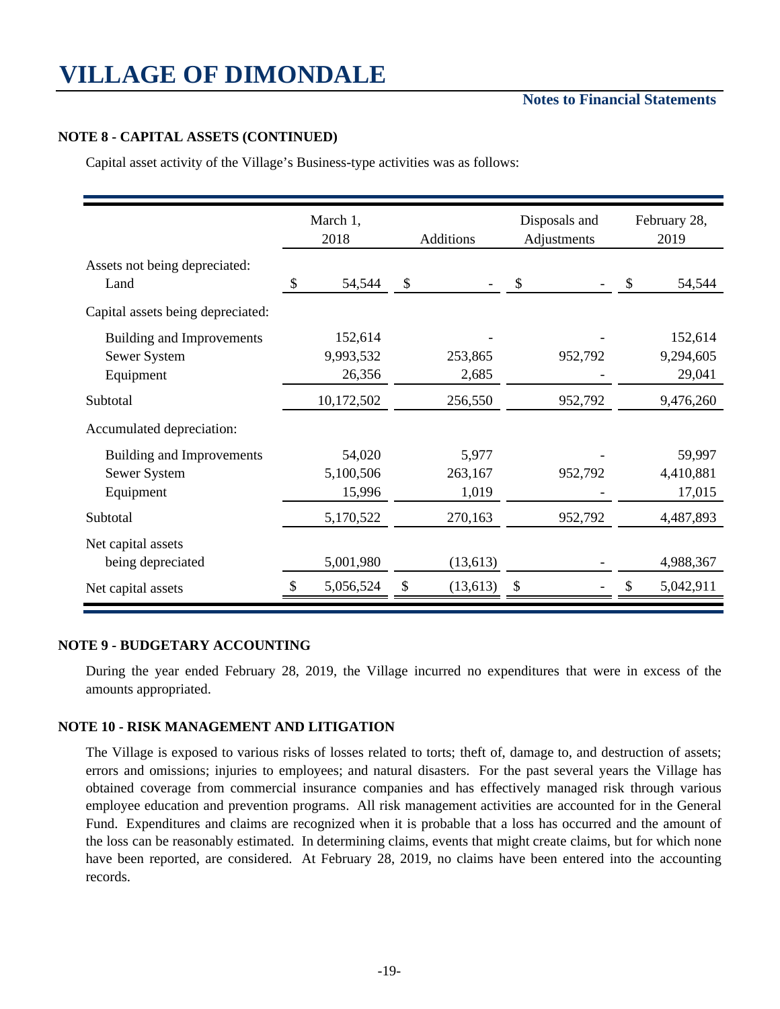#### **NOTE 8 - CAPITAL ASSETS (CONTINUED)**

Capital asset activity of the Village's Business-type activities was as follows:

|                                   | March 1,<br>2018 | <b>Additions</b>          |           | Disposals and<br>Adjustments | February 28,<br>2019 |           |  |
|-----------------------------------|------------------|---------------------------|-----------|------------------------------|----------------------|-----------|--|
| Assets not being depreciated:     |                  |                           |           |                              |                      |           |  |
| Land                              | \$<br>54,544     | $\boldsymbol{\mathsf{S}}$ |           | \$                           | S                    | 54,544    |  |
| Capital assets being depreciated: |                  |                           |           |                              |                      |           |  |
| <b>Building and Improvements</b>  | 152,614          |                           |           |                              |                      | 152,614   |  |
| Sewer System                      | 9,993,532        |                           | 253,865   | 952,792                      |                      | 9,294,605 |  |
| Equipment                         | 26,356           |                           | 2,685     |                              |                      | 29,041    |  |
| Subtotal                          | 10,172,502       |                           | 256,550   | 952,792                      |                      | 9,476,260 |  |
| Accumulated depreciation:         |                  |                           |           |                              |                      |           |  |
| Building and Improvements         | 54,020           |                           | 5,977     |                              |                      | 59,997    |  |
| Sewer System                      | 5,100,506        |                           | 263,167   | 952,792                      |                      | 4,410,881 |  |
| Equipment                         | 15,996           |                           | 1,019     |                              |                      | 17,015    |  |
| Subtotal                          | 5,170,522        |                           | 270,163   | 952,792                      |                      | 4,487,893 |  |
| Net capital assets                |                  |                           |           |                              |                      |           |  |
| being depreciated                 | 5,001,980        |                           | (13, 613) |                              |                      | 4,988,367 |  |
| Net capital assets                | 5,056,524        | \$                        | (13, 613) | \$                           |                      | 5,042,911 |  |

#### **NOTE 9 - BUDGETARY ACCOUNTING**

During the year ended February 28, 2019, the Village incurred no expenditures that were in excess of the amounts appropriated.

#### **NOTE 10 - RISK MANAGEMENT AND LITIGATION**

The Village is exposed to various risks of losses related to torts; theft of, damage to, and destruction of assets; errors and omissions; injuries to employees; and natural disasters. For the past several years the Village has obtained coverage from commercial insurance companies and has effectively managed risk through various employee education and prevention programs. All risk management activities are accounted for in the General Fund. Expenditures and claims are recognized when it is probable that a loss has occurred and the amount of the loss can be reasonably estimated. In determining claims, events that might create claims, but for which none have been reported, are considered. At February 28, 2019, no claims have been entered into the accounting records.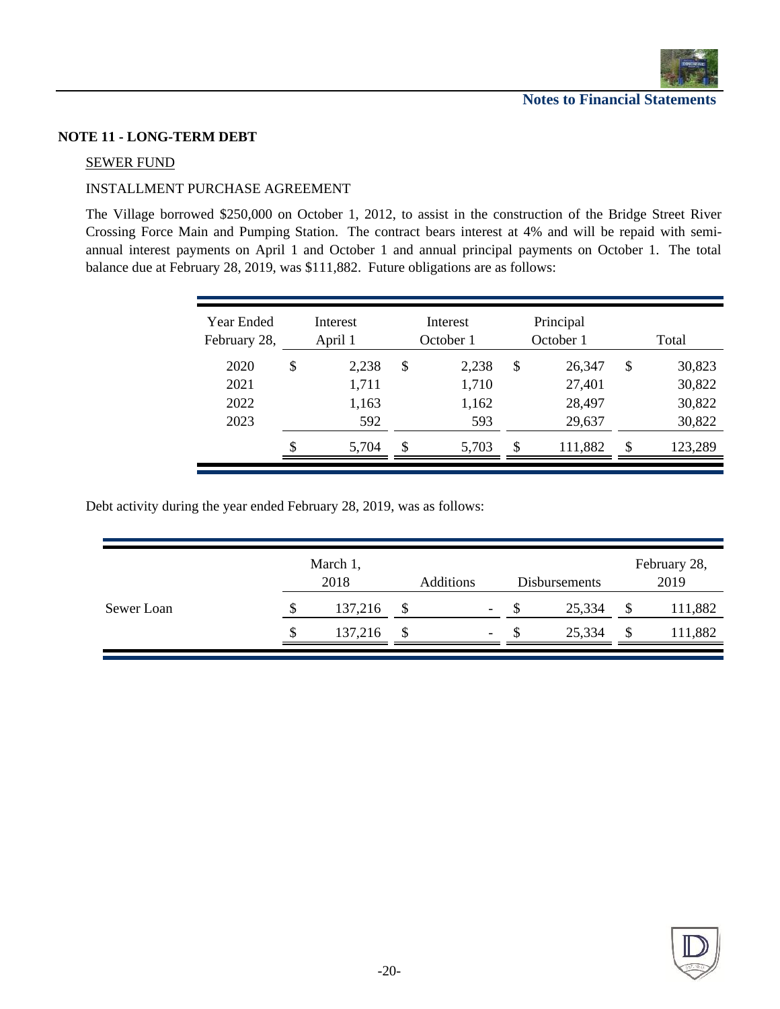

#### **NOTE 11 - LONG-TERM DEBT**

#### SEWER FUND

#### INSTALLMENT PURCHASE AGREEMENT

The Village borrowed \$250,000 on October 1, 2012, to assist in the construction of the Bridge Street River Crossing Force Main and Pumping Station. The contract bears interest at 4% and will be repaid with semiannual interest payments on April 1 and October 1 and annual principal payments on October 1. The total balance due at February 28, 2019, was \$111,882. Future obligations are as follows:

| Year Ended<br>February 28, |               | Interest<br>April 1 |               | Interest<br>October 1 | Principal<br>October 1 |               | Total            |
|----------------------------|---------------|---------------------|---------------|-----------------------|------------------------|---------------|------------------|
| 2020<br>2021               | \$            | 2,238<br>1,711      | \$            | 2,238<br>1,710        | \$<br>26,347<br>27,401 | \$            | 30,823<br>30,822 |
| 2022                       |               | 1,163               |               | 1,162                 | 28,497                 |               | 30,822           |
| 2023                       |               | 592                 |               | 593                   | 29,637                 |               | 30,822           |
|                            | $\mathcal{S}$ | 5,704               | $\mathcal{S}$ | 5,703                 | \$<br>111,882          | $\mathcal{S}$ | 123,289          |

Debt activity during the year ended February 28, 2019, was as follows:

|            | March 1, | <b>Additions</b> | <b>Disbursements</b> |                          |    | February 28,<br>2019 |  |         |
|------------|----------|------------------|----------------------|--------------------------|----|----------------------|--|---------|
| Sewer Loan |          | 137,216          | \$                   | $\overline{\phantom{a}}$ |    | 25,334               |  | 111,882 |
|            |          | 137,216          | \$                   | $\sim$                   | ۰D | 25,334               |  | 11,882  |

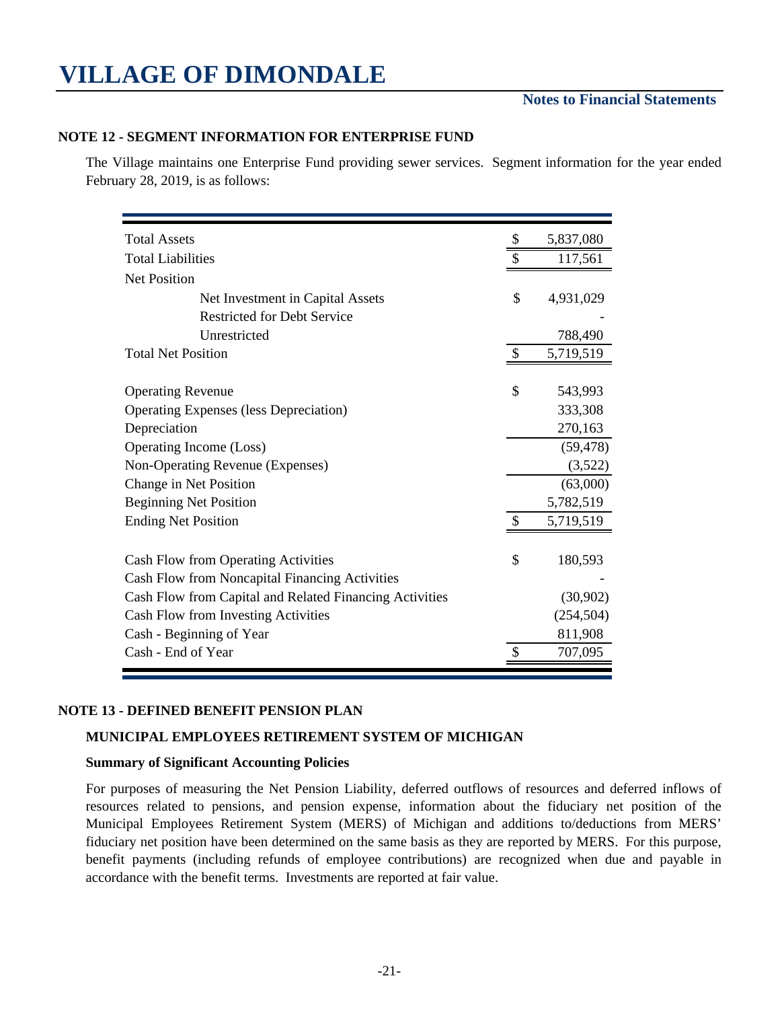#### **Notes to Financial Statements**

#### **NOTE 12 - SEGMENT INFORMATION FOR ENTERPRISE FUND**

The Village maintains one Enterprise Fund providing sewer services. Segment information for the year ended February 28, 2019, is as follows:

| <b>Total Assets</b>                                     | \$            | 5,837,080  |
|---------------------------------------------------------|---------------|------------|
| <b>Total Liabilities</b>                                |               | 117,561    |
| <b>Net Position</b>                                     |               |            |
| Net Investment in Capital Assets                        | \$            | 4,931,029  |
| <b>Restricted for Debt Service</b>                      |               |            |
| Unrestricted                                            |               | 788,490    |
| <b>Total Net Position</b>                               | $\mathcal{S}$ | 5,719,519  |
|                                                         | \$            |            |
| <b>Operating Revenue</b>                                |               | 543,993    |
| <b>Operating Expenses (less Depreciation)</b>           |               | 333,308    |
| Depreciation                                            |               | 270,163    |
| Operating Income (Loss)                                 |               | (59, 478)  |
| Non-Operating Revenue (Expenses)                        |               | (3,522)    |
| Change in Net Position                                  |               | (63,000)   |
| <b>Beginning Net Position</b>                           |               | 5,782,519  |
| <b>Ending Net Position</b>                              | <sup>\$</sup> | 5,719,519  |
| Cash Flow from Operating Activities                     | \$            | 180,593    |
| Cash Flow from Noncapital Financing Activities          |               |            |
| Cash Flow from Capital and Related Financing Activities |               | (30,902)   |
| Cash Flow from Investing Activities                     |               | (254, 504) |
| Cash - Beginning of Year                                |               | 811,908    |
| Cash - End of Year                                      |               | 707,095    |

#### **NOTE 13 - DEFINED BENEFIT PENSION PLAN**

#### **MUNICIPAL EMPLOYEES RETIREMENT SYSTEM OF MICHIGAN**

#### **Summary of Significant Accounting Policies**

For purposes of measuring the Net Pension Liability, deferred outflows of resources and deferred inflows of resources related to pensions, and pension expense, information about the fiduciary net position of the Municipal Employees Retirement System (MERS) of Michigan and additions to/deductions from MERS' fiduciary net position have been determined on the same basis as they are reported by MERS. For this purpose, benefit payments (including refunds of employee contributions) are recognized when due and payable in accordance with the benefit terms. Investments are reported at fair value.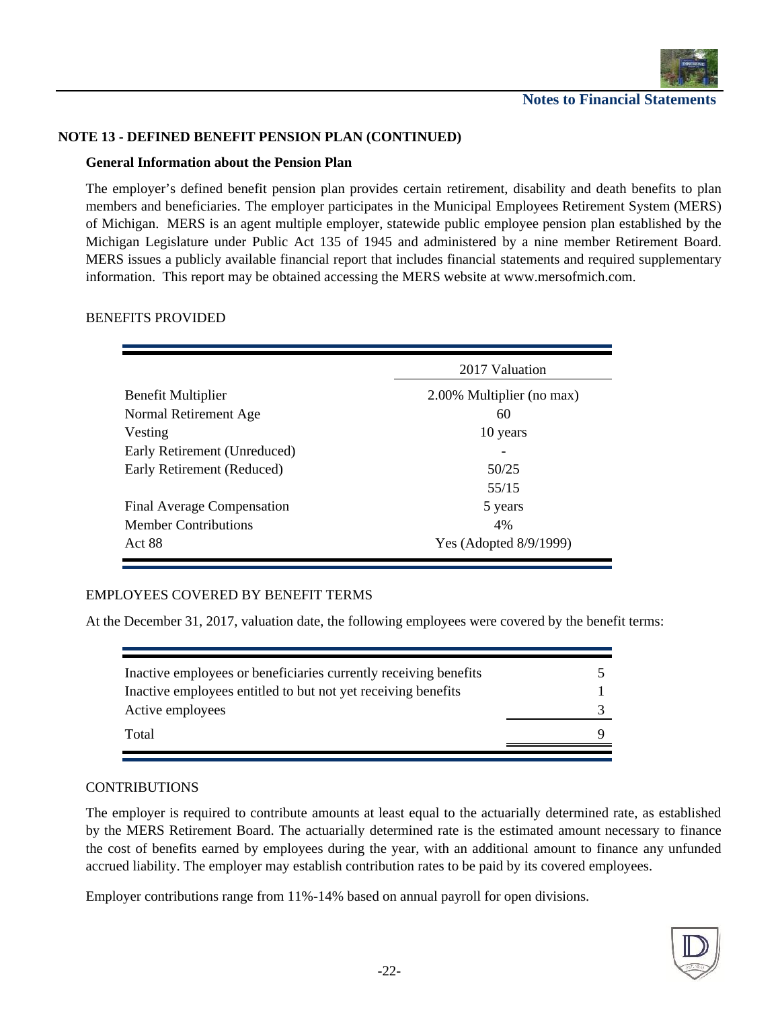

#### **NOTE 13 - DEFINED BENEFIT PENSION PLAN (CONTINUED)**

#### **General Information about the Pension Plan**

The employer's defined benefit pension plan provides certain retirement, disability and death benefits to plan members and beneficiaries. The employer participates in the Municipal Employees Retirement System (MERS) of Michigan. MERS is an agent multiple employer, statewide public employee pension plan established by the Michigan Legislature under Public Act 135 of 1945 and administered by a nine member Retirement Board. MERS issues a publicly available financial report that includes financial statements and required supplementary information. This report may be obtained accessing the MERS website at www.mersofmich.com.

#### BENEFITS PROVIDED

|                                  | 2017 Valuation            |
|----------------------------------|---------------------------|
| <b>Benefit Multiplier</b>        | 2.00% Multiplier (no max) |
| Normal Retirement Age<br>Vesting | 60<br>10 years            |
| Early Retirement (Unreduced)     |                           |
| Early Retirement (Reduced)       | 50/25                     |
|                                  | 55/15                     |
| Final Average Compensation       | 5 years                   |
| <b>Member Contributions</b>      | 4%                        |
| Act 88                           | Yes (Adopted 8/9/1999)    |

#### EMPLOYEES COVERED BY BENEFIT TERMS

At the December 31, 2017, valuation date, the following employees were covered by the benefit terms:

| Inactive employees or beneficiaries currently receiving benefits |  |
|------------------------------------------------------------------|--|
| Inactive employees entitled to but not yet receiving benefits    |  |
| Active employees                                                 |  |
| Total                                                            |  |
|                                                                  |  |

#### CONTRIBUTIONS

The employer is required to contribute amounts at least equal to the actuarially determined rate, as established by the MERS Retirement Board. The actuarially determined rate is the estimated amount necessary to finance the cost of benefits earned by employees during the year, with an additional amount to finance any unfunded accrued liability. The employer may establish contribution rates to be paid by its covered employees.

Employer contributions range from 11%-14% based on annual payroll for open divisions.

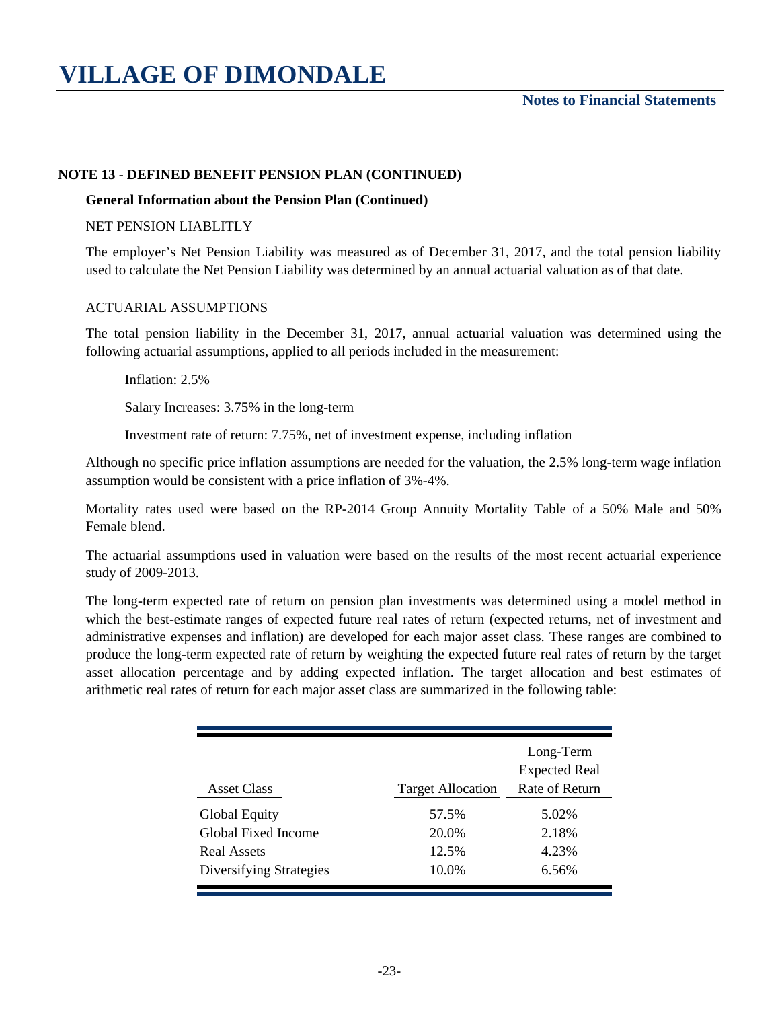#### **Notes to Financial Statements**

#### **NOTE 13 - DEFINED BENEFIT PENSION PLAN (CONTINUED)**

#### **General Information about the Pension Plan (Continued)**

#### NET PENSION LIABLITLY

The employer's Net Pension Liability was measured as of December 31, 2017, and the total pension liability used to calculate the Net Pension Liability was determined by an annual actuarial valuation as of that date.

#### ACTUARIAL ASSUMPTIONS

Inflation: 2.5%

The total pension liability in the December 31, 2017, annual actuarial valuation was determined using the following actuarial assumptions, applied to all periods included in the measurement:

Salary Increases: 3.75% in the long-term

Investment rate of return: 7.75%, net of investment expense, including inflation

Although no specific price inflation assumptions are needed for the valuation, the 2.5% long-term wage inflation assumption would be consistent with a price inflation of 3%-4%.

Mortality rates used were based on the RP-2014 Group Annuity Mortality Table of a 50% Male and 50% Female blend.

The actuarial assumptions used in valuation were based on the results of the most recent actuarial experience study of 2009-2013.

The long-term expected rate of return on pension plan investments was determined using a model method in which the best-estimate ranges of expected future real rates of return (expected returns, net of investment and administrative expenses and inflation) are developed for each major asset class. These ranges are combined to produce the long-term expected rate of return by weighting the expected future real rates of return by the target asset allocation percentage and by adding expected inflation. The target allocation and best estimates of arithmetic real rates of return for each major asset class are summarized in the following table:

| <b>Asset Class</b>      | <b>Target Allocation</b> | Long-Term<br><b>Expected Real</b><br>Rate of Return |
|-------------------------|--------------------------|-----------------------------------------------------|
| <b>Global Equity</b>    | 57.5%                    | 5.02%                                               |
| Global Fixed Income     | 20.0%                    | 2.18%                                               |
| <b>Real Assets</b>      | 12.5%                    | 4.23%                                               |
| Diversifying Strategies | 10.0%                    | 6.56%                                               |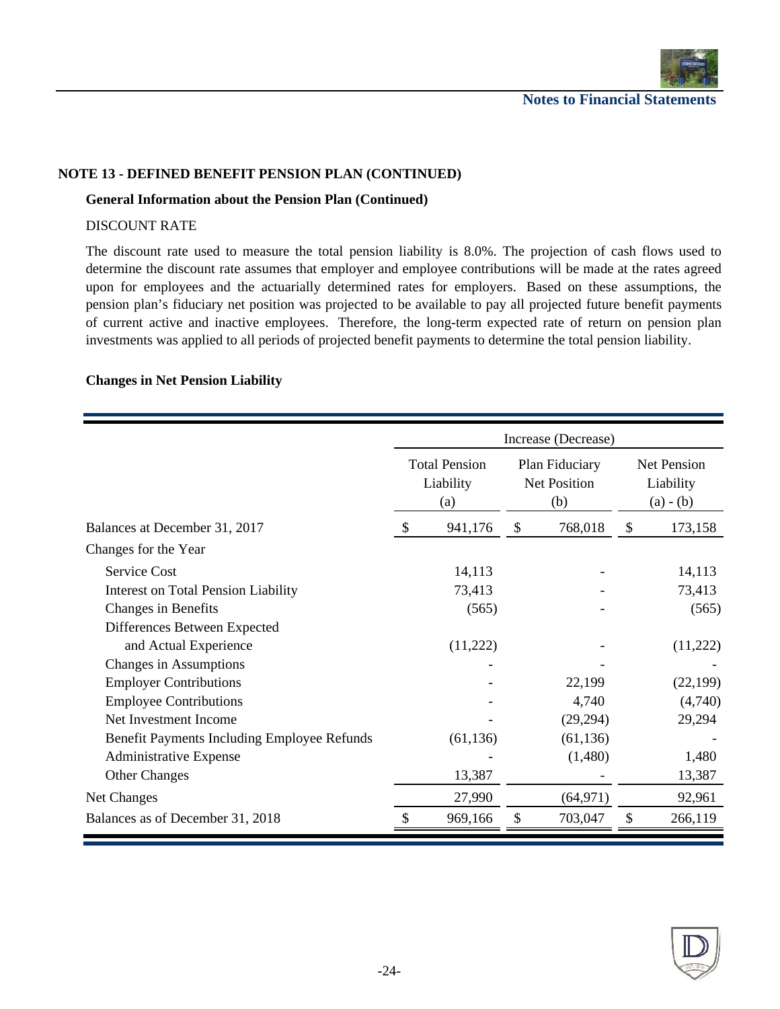

#### **NOTE 13 - DEFINED BENEFIT PENSION PLAN (CONTINUED)**

#### **General Information about the Pension Plan (Continued)**

#### DISCOUNT RATE

The discount rate used to measure the total pension liability is 8.0%. The projection of cash flows used to determine the discount rate assumes that employer and employee contributions will be made at the rates agreed upon for employees and the actuarially determined rates for employers. Based on these assumptions, the pension plan's fiduciary net position was projected to be available to pay all projected future benefit payments of current active and inactive employees. Therefore, the long-term expected rate of return on pension plan investments was applied to all periods of projected benefit payments to determine the total pension liability.

#### **Changes in Net Pension Liability**

|                                             |     |                                          |    | Increase (Decrease)                   |    |                                         |  |
|---------------------------------------------|-----|------------------------------------------|----|---------------------------------------|----|-----------------------------------------|--|
|                                             |     | <b>Total Pension</b><br>Liability<br>(a) |    | Plan Fiduciary<br>Net Position<br>(b) |    | Net Pension<br>Liability<br>$(a) - (b)$ |  |
| Balances at December 31, 2017               | \$. | 941,176                                  | \$ | 768,018                               | \$ | 173,158                                 |  |
| Changes for the Year                        |     |                                          |    |                                       |    |                                         |  |
| <b>Service Cost</b>                         |     | 14,113                                   |    |                                       |    | 14,113                                  |  |
| <b>Interest on Total Pension Liability</b>  |     | 73,413                                   |    |                                       |    | 73,413                                  |  |
| Changes in Benefits                         |     | (565)                                    |    |                                       |    | (565)                                   |  |
| Differences Between Expected                |     |                                          |    |                                       |    |                                         |  |
| and Actual Experience                       |     | (11,222)                                 |    |                                       |    | (11,222)                                |  |
| Changes in Assumptions                      |     |                                          |    |                                       |    |                                         |  |
| <b>Employer Contributions</b>               |     |                                          |    | 22,199                                |    | (22, 199)                               |  |
| <b>Employee Contributions</b>               |     |                                          |    | 4,740                                 |    | (4,740)                                 |  |
| Net Investment Income                       |     |                                          |    | (29, 294)                             |    | 29,294                                  |  |
| Benefit Payments Including Employee Refunds |     | (61, 136)                                |    | (61, 136)                             |    |                                         |  |
| Administrative Expense                      |     |                                          |    | (1,480)                               |    | 1,480                                   |  |
| <b>Other Changes</b>                        |     | 13,387                                   |    |                                       |    | 13,387                                  |  |
| Net Changes                                 |     | 27,990                                   |    | (64, 971)                             |    | 92,961                                  |  |
| Balances as of December 31, 2018            |     | 969,166                                  | \$ | 703,047                               | \$ | 266,119                                 |  |

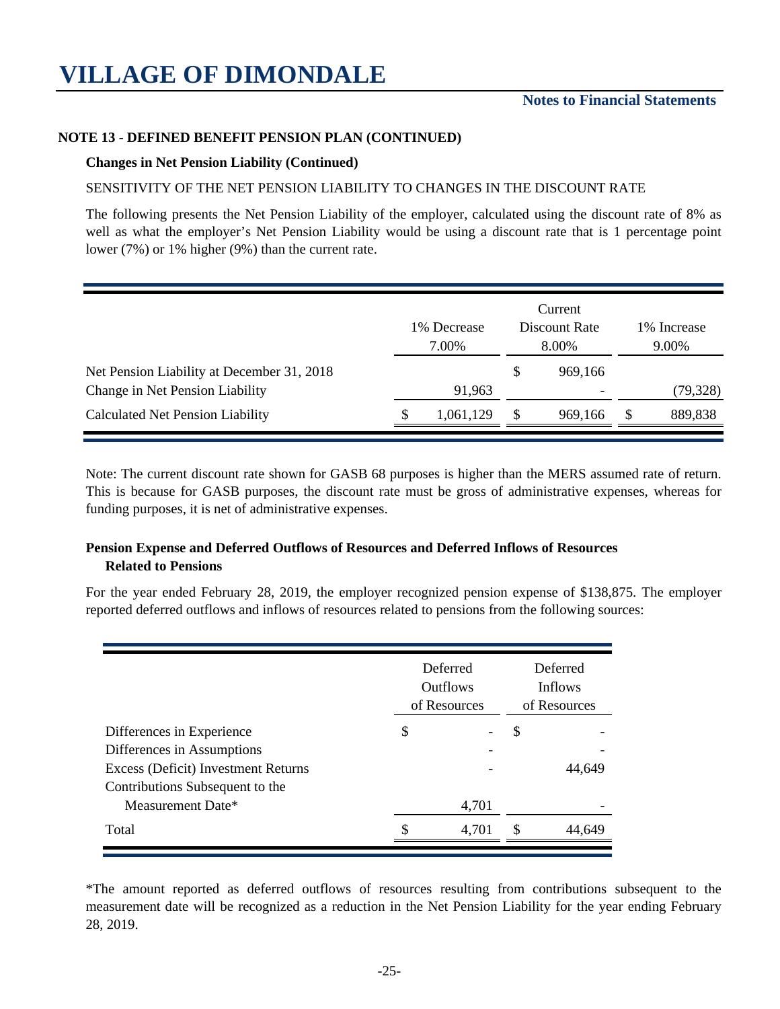#### **NOTE 13 - DEFINED BENEFIT PENSION PLAN (CONTINUED)**

#### **Changes in Net Pension Liability (Continued)**

#### SENSITIVITY OF THE NET PENSION LIABILITY TO CHANGES IN THE DISCOUNT RATE

The following presents the Net Pension Liability of the employer, calculated using the discount rate of 8% as well as what the employer's Net Pension Liability would be using a discount rate that is 1 percentage point lower (7%) or 1% higher (9%) than the current rate.

|                                            | 1% Decrease<br>7.00% |           |   | Current<br>Discount Rate<br>8.00% |  | 1% Increase<br>9.00% |  |
|--------------------------------------------|----------------------|-----------|---|-----------------------------------|--|----------------------|--|
| Net Pension Liability at December 31, 2018 |                      |           | S | 969,166                           |  |                      |  |
| Change in Net Pension Liability            |                      | 91,963    |   |                                   |  | (79, 328)            |  |
| <b>Calculated Net Pension Liability</b>    | ۰D                   | 1,061,129 |   | 969,166                           |  | 889,838              |  |

Note: The current discount rate shown for GASB 68 purposes is higher than the MERS assumed rate of return. This is because for GASB purposes, the discount rate must be gross of administrative expenses, whereas for funding purposes, it is net of administrative expenses.

#### **Pension Expense and Deferred Outflows of Resources and Deferred Inflows of Resources Related to Pensions**

For the year ended February 28, 2019, the employer recognized pension expense of \$138,875. The employer reported deferred outflows and inflows of resources related to pensions from the following sources:

|                                     | Deferred<br><b>Outflows</b><br>of Resources | Deferred<br><b>Inflows</b><br>of Resources |    |        |
|-------------------------------------|---------------------------------------------|--------------------------------------------|----|--------|
| Differences in Experience           | \$                                          |                                            | \$ |        |
| Differences in Assumptions          |                                             |                                            |    |        |
| Excess (Deficit) Investment Returns |                                             |                                            |    | 44,649 |
| Contributions Subsequent to the     |                                             |                                            |    |        |
| Measurement Date*                   |                                             | 4,701                                      |    |        |
| Total                               |                                             | 4,701                                      | S  | 44,649 |

\*The amount reported as deferred outflows of resources resulting from contributions subsequent to the measurement date will be recognized as a reduction in the Net Pension Liability for the year ending February 28, 2019.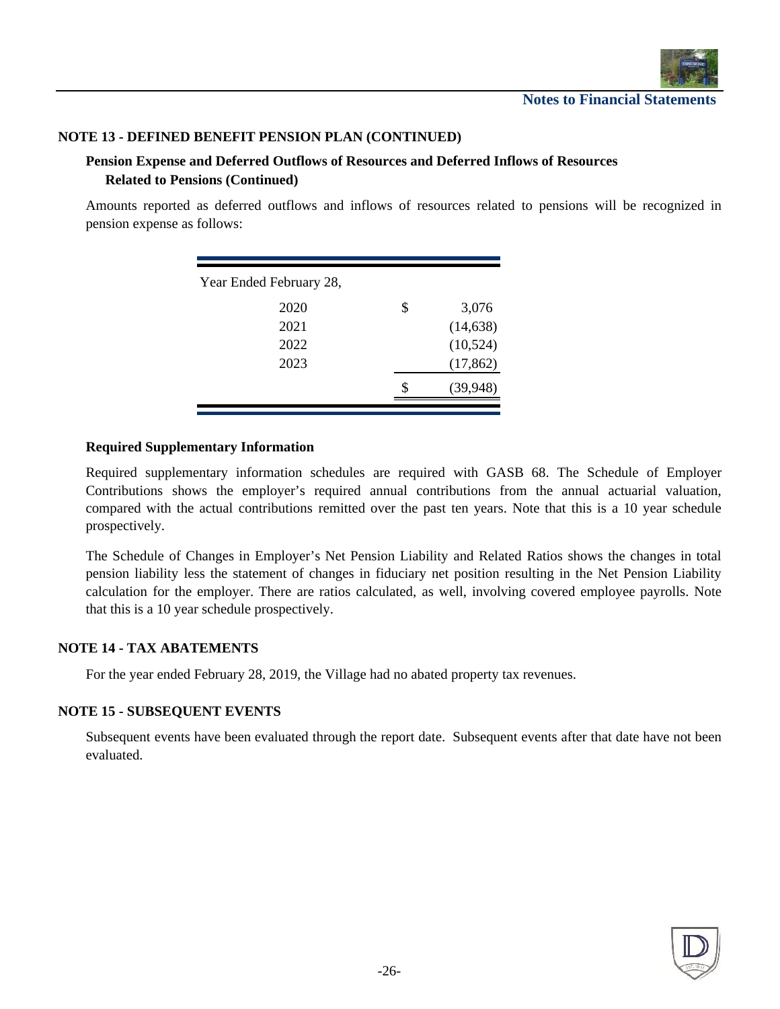

#### **NOTE 13 - DEFINED BENEFIT PENSION PLAN (CONTINUED)**

#### **Pension Expense and Deferred Outflows of Resources and Deferred Inflows of Resources Related to Pensions (Continued)**

Amounts reported as deferred outflows and inflows of resources related to pensions will be recognized in pension expense as follows:

| Year Ended February 28, |             |
|-------------------------|-------------|
| 2020                    | \$<br>3,076 |
| 2021                    | (14, 638)   |
| 2022                    | (10, 524)   |
| 2023                    | (17, 862)   |
|                         | (39,948)    |

#### **Required Supplementary Information**

Required supplementary information schedules are required with GASB 68. The Schedule of Employer Contributions shows the employer's required annual contributions from the annual actuarial valuation, compared with the actual contributions remitted over the past ten years. Note that this is a 10 year schedule prospectively.

The Schedule of Changes in Employer's Net Pension Liability and Related Ratios shows the changes in total pension liability less the statement of changes in fiduciary net position resulting in the Net Pension Liability calculation for the employer. There are ratios calculated, as well, involving covered employee payrolls. Note that this is a 10 year schedule prospectively.

#### **NOTE 14 - TAX ABATEMENTS**

For the year ended February 28, 2019, the Village had no abated property tax revenues.

#### **NOTE 15 - SUBSEQUENT EVENTS**

Subsequent events have been evaluated through the report date. Subsequent events after that date have not been evaluated.

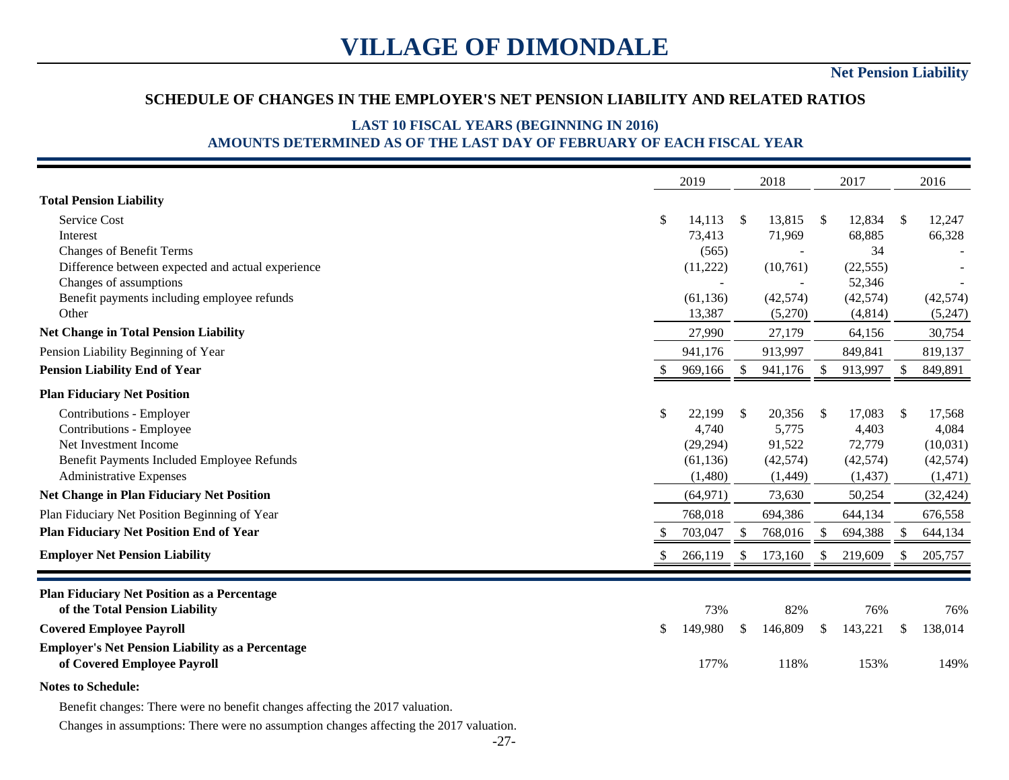### **SCHEDULE OF CHANGES IN THE EMPLOYER'S NET PENSION LIABILITY AND RELATED RATIOS**

### **LAST 10 FISCAL YEARS (BEGINNING IN 2016) AMOUNTS DETERMINED AS OF THE LAST DAY OF FEBRUARY OF EACH FISCAL YEAR**

|                                                         |              | 2019      |                         | 2018      |               | 2017      |               | 2016      |
|---------------------------------------------------------|--------------|-----------|-------------------------|-----------|---------------|-----------|---------------|-----------|
| <b>Total Pension Liability</b>                          |              |           |                         |           |               |           |               |           |
| Service Cost                                            | $\mathbb{S}$ | 14,113    | $\sqrt[6]{\frac{1}{2}}$ | 13,815    | -S            | 12,834    | -S            | 12,247    |
| Interest                                                |              | 73,413    |                         | 71,969    |               | 68,885    |               | 66,328    |
| <b>Changes of Benefit Terms</b>                         |              | (565)     |                         |           |               | 34        |               |           |
| Difference between expected and actual experience       |              | (11,222)  |                         | (10,761)  |               | (22, 555) |               |           |
| Changes of assumptions                                  |              |           |                         |           |               | 52,346    |               |           |
| Benefit payments including employee refunds             |              | (61, 136) |                         | (42, 574) |               | (42,574)  |               | (42, 574) |
| Other                                                   |              | 13,387    |                         | (5,270)   |               | (4, 814)  |               | (5,247)   |
| <b>Net Change in Total Pension Liability</b>            |              | 27,990    |                         | 27,179    |               | 64,156    |               | 30,754    |
| Pension Liability Beginning of Year                     |              | 941,176   |                         | 913,997   |               | 849,841   |               | 819,137   |
| <b>Pension Liability End of Year</b>                    |              | 969,166   | <sup>\$</sup>           | 941,176   | <sup>\$</sup> | 913,997   | <sup>S</sup>  | 849,891   |
| <b>Plan Fiduciary Net Position</b>                      |              |           |                         |           |               |           |               |           |
| Contributions - Employer                                | $\mathbb{S}$ | 22,199    | $\mathbb{S}$            | 20,356    | <sup>\$</sup> | 17,083    | S.            | 17,568    |
| Contributions - Employee                                |              | 4,740     |                         | 5,775     |               | 4,403     |               | 4,084     |
| Net Investment Income                                   |              | (29, 294) |                         | 91,522    |               | 72,779    |               | (10,031)  |
| Benefit Payments Included Employee Refunds              |              | (61, 136) |                         | (42, 574) |               | (42, 574) |               | (42, 574) |
| Administrative Expenses                                 |              | (1,480)   |                         | (1,449)   |               | (1, 437)  |               | (1, 471)  |
| <b>Net Change in Plan Fiduciary Net Position</b>        |              | (64, 971) |                         | 73,630    |               | 50,254    |               | (32, 424) |
| Plan Fiduciary Net Position Beginning of Year           |              | 768,018   |                         | 694,386   |               | 644,134   |               | 676,558   |
| <b>Plan Fiduciary Net Position End of Year</b>          |              | 703,047   | <sup>\$</sup>           | 768,016   | <sup>\$</sup> | 694,388   | <sup>\$</sup> | 644,134   |
| <b>Employer Net Pension Liability</b>                   | \$           | 266,119   | \$                      | 173,160   | <sup>\$</sup> | 219,609   |               | 205,757   |
| <b>Plan Fiduciary Net Position as a Percentage</b>      |              |           |                         |           |               |           |               |           |
| of the Total Pension Liability                          |              | 73%       |                         | 82%       |               | 76%       |               | 76%       |
| <b>Covered Employee Payroll</b>                         | \$           | 149,980   | \$                      | 146,809   | \$.           | 143,221   | \$            | 138,014   |
| <b>Employer's Net Pension Liability as a Percentage</b> |              |           |                         |           |               |           |               |           |
| of Covered Employee Payroll                             |              | 177%      |                         | 118%      |               | 153%      |               | 149%      |
| <b>Notes to Schedule:</b>                               |              |           |                         |           |               |           |               |           |

Benefit changes: There were no benefit changes affecting the 2017 valuation.

Changes in assumptions: There were no assumption changes affecting the 2017 valuation.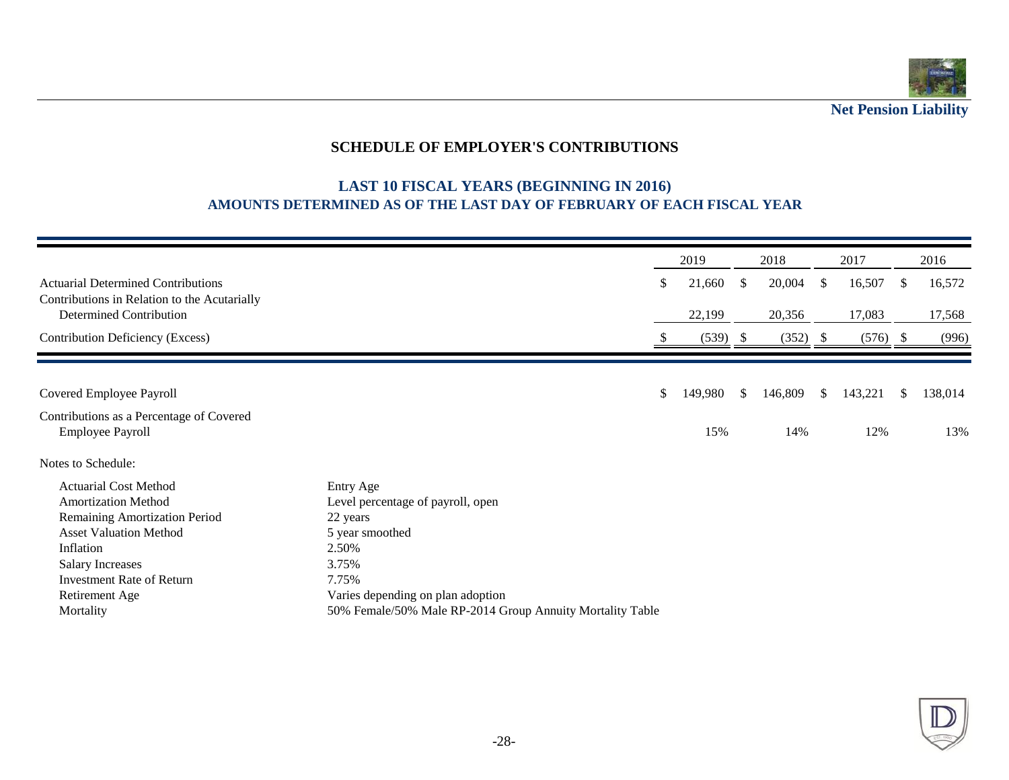

**Net Pension Liability**

## **SCHEDULE OF EMPLOYER'S CONTRIBUTIONS**

### **LAST 10 FISCAL YEARS (BEGINNING IN 2016) AMOUNTS DETERMINED AS OF THE LAST DAY OF FEBRUARY OF EACH FISCAL YEAR**

|                                                                                                                                                                                                                                         |                                                                                                                                                                                                            | 2019          |               | 2018    |     | 2017       |     | 2016    |
|-----------------------------------------------------------------------------------------------------------------------------------------------------------------------------------------------------------------------------------------|------------------------------------------------------------------------------------------------------------------------------------------------------------------------------------------------------------|---------------|---------------|---------|-----|------------|-----|---------|
| <b>Actuarial Determined Contributions</b><br>Contributions in Relation to the Acutarially                                                                                                                                               |                                                                                                                                                                                                            | \$<br>21,660  | S.            | 20,004  | S   | 16,507     | S.  | 16,572  |
| <b>Determined Contribution</b>                                                                                                                                                                                                          |                                                                                                                                                                                                            | 22,199        |               | 20,356  |     | 17,083     |     | 17,568  |
| Contribution Deficiency (Excess)                                                                                                                                                                                                        |                                                                                                                                                                                                            | (539)         | - S           | (352)   | - S | $(576)$ \$ |     | (996)   |
|                                                                                                                                                                                                                                         |                                                                                                                                                                                                            |               |               |         |     |            |     |         |
| Covered Employee Payroll                                                                                                                                                                                                                |                                                                                                                                                                                                            | \$<br>149,980 | <sup>\$</sup> | 146,809 | \$. | 143,221    | \$. | 138,014 |
| Contributions as a Percentage of Covered<br><b>Employee Payroll</b>                                                                                                                                                                     |                                                                                                                                                                                                            | 15%           |               | 14%     |     | 12%        |     | 13%     |
| Notes to Schedule:                                                                                                                                                                                                                      |                                                                                                                                                                                                            |               |               |         |     |            |     |         |
| <b>Actuarial Cost Method</b><br><b>Amortization Method</b><br>Remaining Amortization Period<br><b>Asset Valuation Method</b><br>Inflation<br><b>Salary Increases</b><br><b>Investment Rate of Return</b><br>Retirement Age<br>Mortality | Entry Age<br>Level percentage of payroll, open<br>22 years<br>5 year smoothed<br>2.50%<br>3.75%<br>7.75%<br>Varies depending on plan adoption<br>50% Female/50% Male RP-2014 Group Annuity Mortality Table |               |               |         |     |            |     |         |

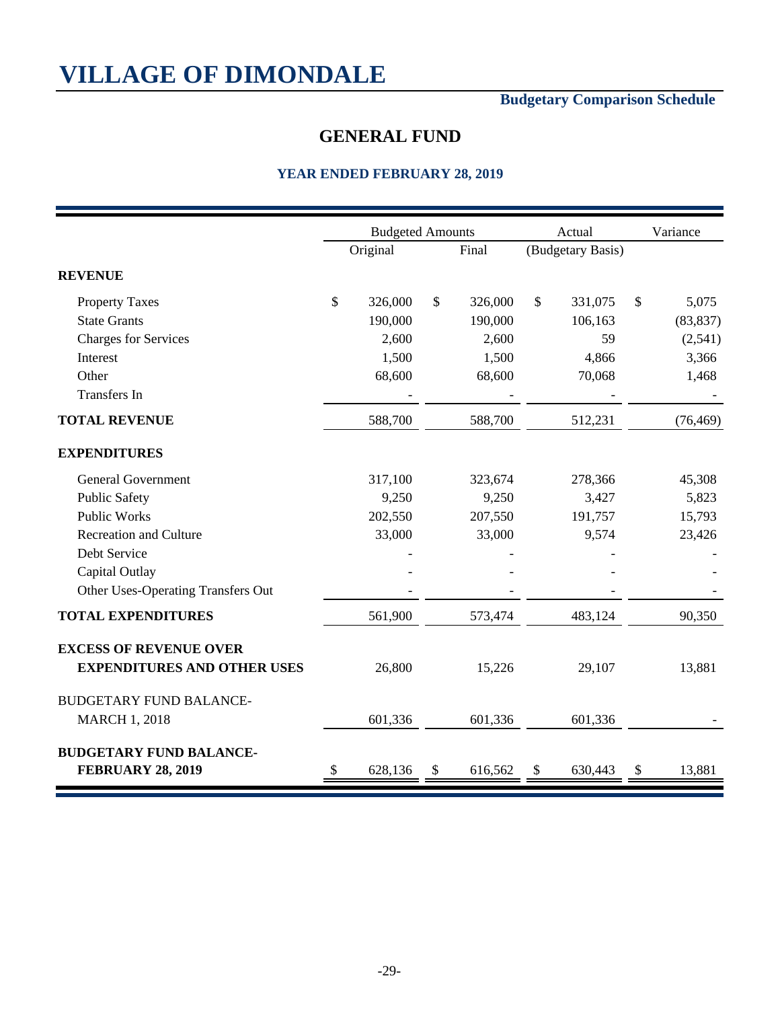## **Budgetary Comparison Schedule**

## **GENERAL FUND**

|                                           | <b>Budgeted Amounts</b> |               | Actual            | Variance     |
|-------------------------------------------|-------------------------|---------------|-------------------|--------------|
|                                           | Original                | Final         | (Budgetary Basis) |              |
| <b>REVENUE</b>                            |                         |               |                   |              |
| <b>Property Taxes</b>                     | \$<br>326,000           | \$<br>326,000 | \$<br>331,075     | \$<br>5,075  |
| <b>State Grants</b>                       | 190,000                 | 190,000       | 106,163           | (83, 837)    |
| <b>Charges for Services</b>               | 2,600                   | 2,600         | 59                | (2,541)      |
| Interest                                  | 1,500                   | 1,500         | 4,866             | 3,366        |
| Other                                     | 68,600                  | 68,600        | 70,068            | 1,468        |
| <b>Transfers</b> In                       |                         |               |                   |              |
| <b>TOTAL REVENUE</b>                      | 588,700                 | 588,700       | 512,231           | (76, 469)    |
| <b>EXPENDITURES</b>                       |                         |               |                   |              |
| <b>General Government</b>                 | 317,100                 | 323,674       | 278,366           | 45,308       |
| <b>Public Safety</b>                      | 9,250                   | 9,250         | 3,427             | 5,823        |
| <b>Public Works</b>                       | 202,550                 | 207,550       | 191,757           | 15,793       |
| <b>Recreation and Culture</b>             | 33,000                  | 33,000        | 9,574             | 23,426       |
| Debt Service                              |                         |               |                   |              |
| Capital Outlay                            |                         |               |                   |              |
| <b>Other Uses-Operating Transfers Out</b> |                         |               |                   |              |
| <b>TOTAL EXPENDITURES</b>                 | 561,900                 | 573,474       | 483,124           | 90,350       |
| <b>EXCESS OF REVENUE OVER</b>             |                         |               |                   |              |
| <b>EXPENDITURES AND OTHER USES</b>        | 26,800                  | 15,226        | 29,107            | 13,881       |
| <b>BUDGETARY FUND BALANCE-</b>            |                         |               |                   |              |
| <b>MARCH 1, 2018</b>                      | 601,336                 | 601,336       | 601,336           |              |
| <b>BUDGETARY FUND BALANCE-</b>            |                         |               |                   |              |
| <b>FEBRUARY 28, 2019</b>                  | \$<br>628,136           | \$<br>616,562 | \$<br>630,443     | \$<br>13,881 |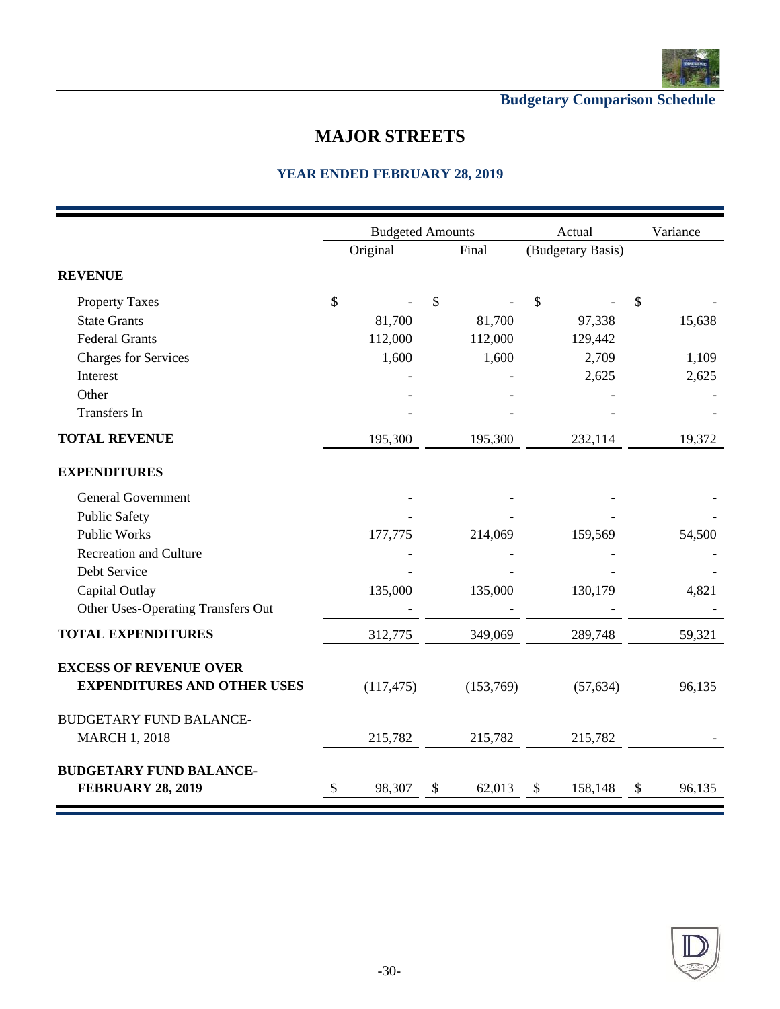

**Budgetary Comparison Schedule**

## **MAJOR STREETS**

|                                    |          | <b>Budgeted Amounts</b> |              | Actual            | Variance |        |  |
|------------------------------------|----------|-------------------------|--------------|-------------------|----------|--------|--|
|                                    | Original |                         | Final        | (Budgetary Basis) |          |        |  |
| <b>REVENUE</b>                     |          |                         |              |                   |          |        |  |
| <b>Property Taxes</b>              | \$       |                         | \$           | \$                | \$       |        |  |
| <b>State Grants</b>                |          | 81,700                  | 81,700       | 97,338            |          | 15,638 |  |
| <b>Federal Grants</b>              |          | 112,000                 | 112,000      | 129,442           |          |        |  |
| <b>Charges for Services</b>        |          | 1,600                   | 1,600        | 2,709             |          | 1,109  |  |
| Interest                           |          |                         |              | 2,625             |          | 2,625  |  |
| Other                              |          |                         |              |                   |          |        |  |
| <b>Transfers</b> In                |          |                         |              |                   |          |        |  |
| <b>TOTAL REVENUE</b>               |          | 195,300                 | 195,300      | 232,114           |          | 19,372 |  |
| <b>EXPENDITURES</b>                |          |                         |              |                   |          |        |  |
| <b>General Government</b>          |          |                         |              |                   |          |        |  |
| <b>Public Safety</b>               |          |                         |              |                   |          |        |  |
| <b>Public Works</b>                |          | 177,775                 | 214,069      | 159,569           |          | 54,500 |  |
| <b>Recreation and Culture</b>      |          |                         |              |                   |          |        |  |
| Debt Service                       |          |                         |              |                   |          |        |  |
| Capital Outlay                     |          | 135,000                 | 135,000      | 130,179           |          | 4,821  |  |
| Other Uses-Operating Transfers Out |          |                         |              |                   |          |        |  |
| <b>TOTAL EXPENDITURES</b>          |          | 312,775                 | 349,069      | 289,748           |          | 59,321 |  |
| <b>EXCESS OF REVENUE OVER</b>      |          |                         |              |                   |          |        |  |
| <b>EXPENDITURES AND OTHER USES</b> |          | (117, 475)              | (153,769)    | (57, 634)         |          | 96,135 |  |
| <b>BUDGETARY FUND BALANCE-</b>     |          |                         |              |                   |          |        |  |
| <b>MARCH 1, 2018</b>               |          | 215,782                 | 215,782      | 215,782           |          |        |  |
| <b>BUDGETARY FUND BALANCE-</b>     |          |                         |              |                   |          |        |  |
| <b>FEBRUARY 28, 2019</b>           | \$       | 98,307                  | \$<br>62,013 | \$<br>158,148     | \$       | 96,135 |  |

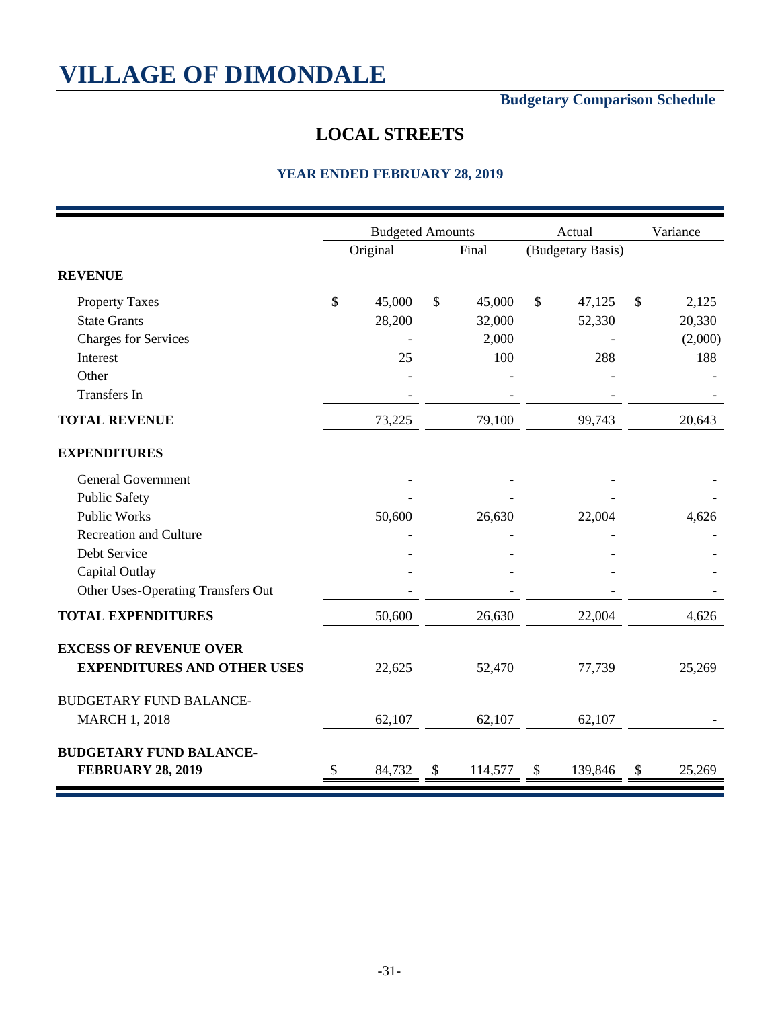## **Budgetary Comparison Schedule**

## **LOCAL STREETS**

|                                           | <b>Budgeted Amounts</b> |               |              | Actual            | Variance     |
|-------------------------------------------|-------------------------|---------------|--------------|-------------------|--------------|
|                                           | Original                | Final         |              | (Budgetary Basis) |              |
| <b>REVENUE</b>                            |                         |               |              |                   |              |
| <b>Property Taxes</b>                     | \$<br>45,000            | \$<br>45,000  | $\mathbb{S}$ | 47,125            | \$<br>2,125  |
| <b>State Grants</b>                       | 28,200                  | 32,000        |              | 52,330            | 20,330       |
| <b>Charges for Services</b>               |                         | 2,000         |              |                   | (2,000)      |
| Interest                                  | 25                      | 100           |              | 288               | 188          |
| Other                                     |                         |               |              |                   |              |
| Transfers In                              |                         |               |              |                   |              |
| <b>TOTAL REVENUE</b>                      | 73,225                  | 79,100        |              | 99,743            | 20,643       |
| <b>EXPENDITURES</b>                       |                         |               |              |                   |              |
| <b>General Government</b>                 |                         |               |              |                   |              |
| <b>Public Safety</b>                      |                         |               |              |                   |              |
| <b>Public Works</b>                       | 50,600                  | 26,630        |              | 22,004            | 4,626        |
| <b>Recreation and Culture</b>             |                         |               |              |                   |              |
| Debt Service                              |                         |               |              |                   |              |
| Capital Outlay                            |                         |               |              |                   |              |
| <b>Other Uses-Operating Transfers Out</b> |                         |               |              |                   |              |
| <b>TOTAL EXPENDITURES</b>                 | 50,600                  | 26,630        |              | 22,004            | 4,626        |
| <b>EXCESS OF REVENUE OVER</b>             |                         |               |              |                   |              |
| <b>EXPENDITURES AND OTHER USES</b>        | 22,625                  | 52,470        |              | 77,739            | 25,269       |
| <b>BUDGETARY FUND BALANCE-</b>            |                         |               |              |                   |              |
| <b>MARCH 1, 2018</b>                      | 62,107                  | 62,107        |              | 62,107            |              |
| <b>BUDGETARY FUND BALANCE-</b>            |                         |               |              |                   |              |
| <b>FEBRUARY 28, 2019</b>                  | \$<br>84,732            | \$<br>114,577 | \$           | 139,846           | \$<br>25,269 |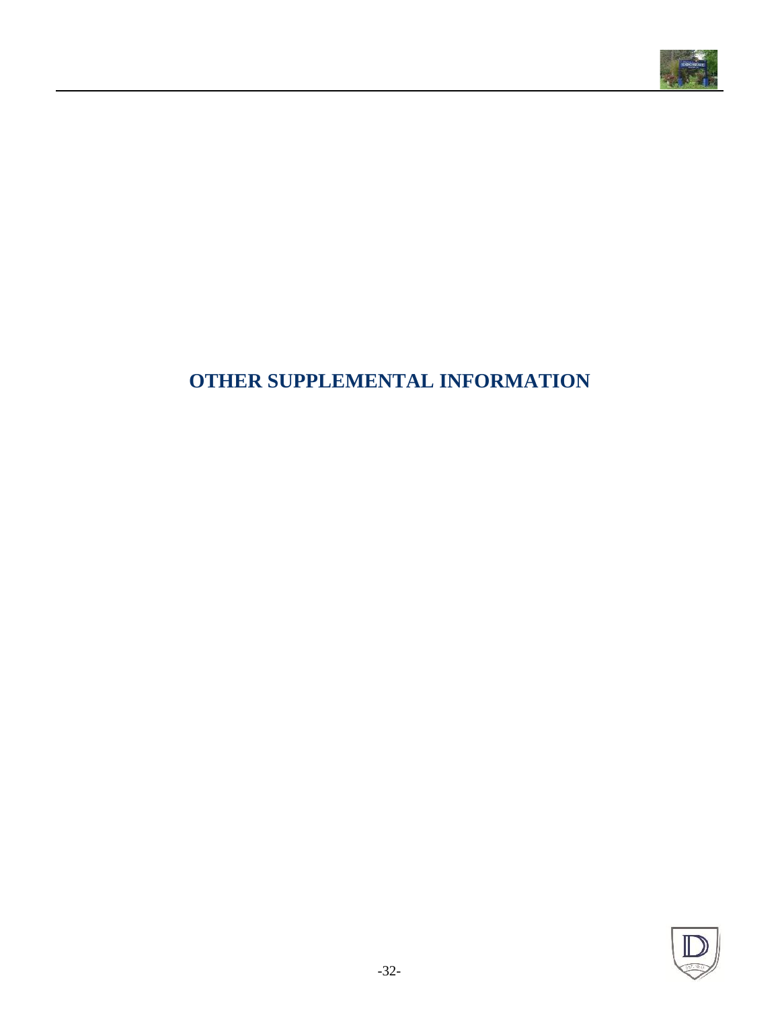

## **OTHER SUPPLEMENTAL INFORMATION**

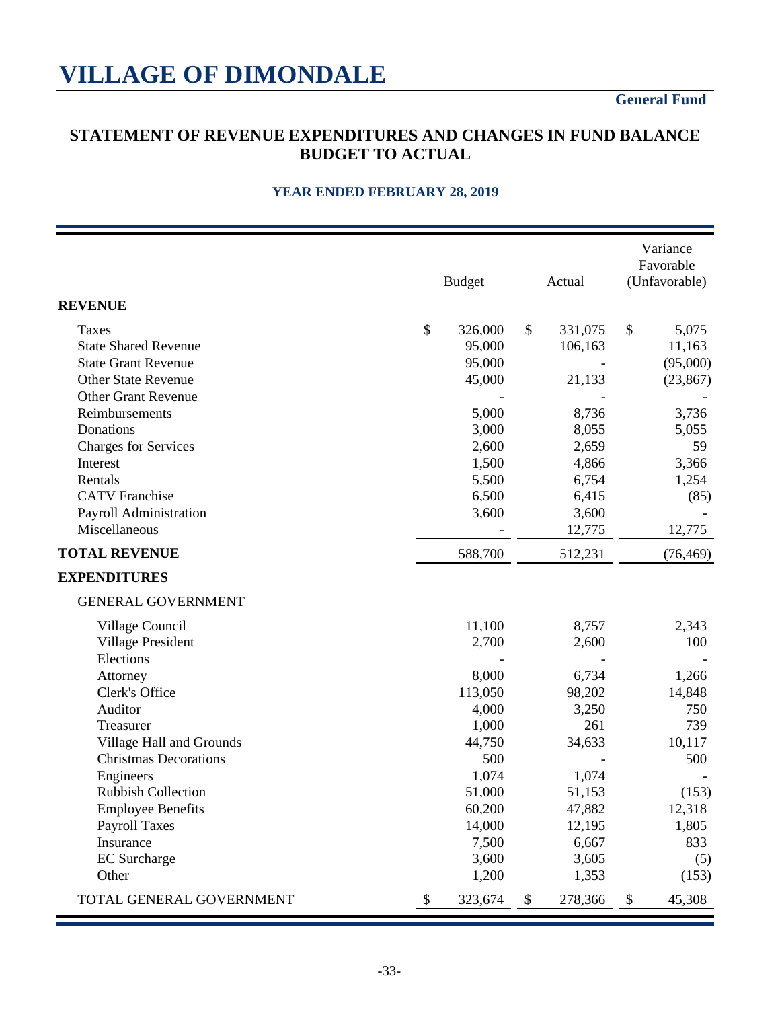## **General Fund**

### **STATEMENT OF REVENUE EXPENDITURES AND CHANGES IN FUND BALANCE BUDGET TO ACTUAL**

|                              | <b>Budget</b> |                            | Actual  | Variance<br>Favorable<br>(Unfavorable) |           |  |
|------------------------------|---------------|----------------------------|---------|----------------------------------------|-----------|--|
| <b>REVENUE</b>               |               |                            |         |                                        |           |  |
| <b>Taxes</b>                 | \$<br>326,000 | \$                         | 331,075 | \$                                     | 5,075     |  |
| <b>State Shared Revenue</b>  | 95,000        |                            | 106,163 |                                        | 11,163    |  |
| <b>State Grant Revenue</b>   | 95,000        |                            |         |                                        | (95,000)  |  |
| <b>Other State Revenue</b>   | 45,000        |                            | 21,133  |                                        | (23, 867) |  |
| <b>Other Grant Revenue</b>   |               |                            |         |                                        |           |  |
| Reimbursements               | 5,000         |                            | 8,736   |                                        | 3,736     |  |
| Donations                    | 3,000         |                            | 8,055   |                                        | 5,055     |  |
| <b>Charges for Services</b>  | 2,600         |                            | 2,659   |                                        | 59        |  |
| Interest                     | 1,500         |                            | 4,866   |                                        | 3,366     |  |
| Rentals                      | 5,500         |                            | 6,754   |                                        | 1,254     |  |
| <b>CATV</b> Franchise        | 6,500         |                            | 6,415   |                                        | (85)      |  |
| Payroll Administration       | 3,600         |                            | 3,600   |                                        |           |  |
| Miscellaneous                |               |                            | 12,775  |                                        | 12,775    |  |
| <b>TOTAL REVENUE</b>         | 588,700       |                            | 512,231 |                                        | (76, 469) |  |
| <b>EXPENDITURES</b>          |               |                            |         |                                        |           |  |
| <b>GENERAL GOVERNMENT</b>    |               |                            |         |                                        |           |  |
| Village Council              | 11,100        |                            | 8,757   |                                        | 2,343     |  |
| <b>Village President</b>     | 2,700         |                            | 2,600   |                                        | 100       |  |
| Elections                    |               |                            |         |                                        |           |  |
| Attorney                     | 8,000         |                            | 6,734   |                                        | 1,266     |  |
| Clerk's Office               | 113,050       |                            | 98,202  |                                        | 14,848    |  |
| Auditor                      | 4,000         |                            | 3,250   |                                        | 750       |  |
| Treasurer                    | 1,000         |                            | 261     |                                        | 739       |  |
| Village Hall and Grounds     | 44,750        |                            | 34,633  |                                        | 10,117    |  |
| <b>Christmas Decorations</b> | 500           |                            |         |                                        | 500       |  |
| Engineers                    | 1,074         |                            | 1,074   |                                        |           |  |
| Rubbish Collection           | 51,000        |                            | 51,153  |                                        | (153)     |  |
| <b>Employee Benefits</b>     | 60,200        |                            | 47,882  |                                        | 12,318    |  |
| <b>Payroll Taxes</b>         | 14,000        |                            | 12,195  |                                        | 1,805     |  |
| Insurance                    | 7,500         |                            | 6,667   |                                        | 833       |  |
| <b>EC</b> Surcharge          | 3,600         |                            | 3,605   |                                        | (5)       |  |
| Other                        | 1,200         |                            | 1,353   |                                        | (153)     |  |
| TOTAL GENERAL GOVERNMENT     | \$<br>323,674 | $\boldsymbol{\mathsf{\$}}$ | 278,366 | \$                                     | 45,308    |  |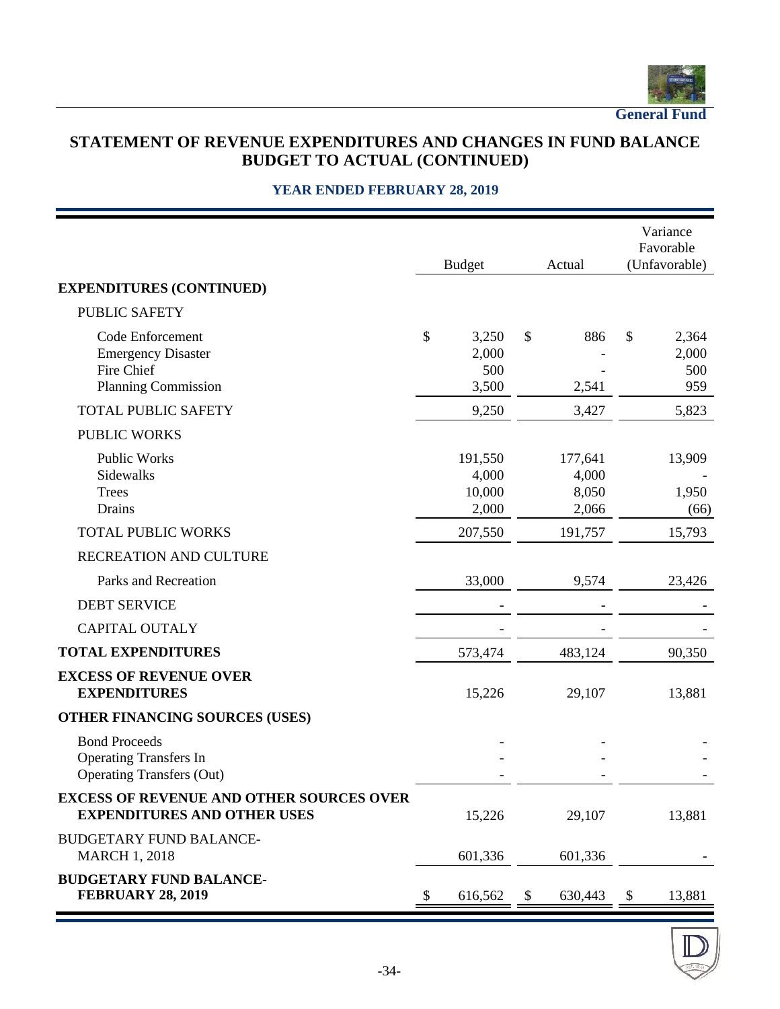

**General Fund**

## **STATEMENT OF REVENUE EXPENDITURES AND CHANGES IN FUND BALANCE BUDGET TO ACTUAL (CONTINUED)**

|                                                                                           |    | <b>Budget</b>                       | Actual                             | Variance<br>Favorable<br>(Unfavorable) |
|-------------------------------------------------------------------------------------------|----|-------------------------------------|------------------------------------|----------------------------------------|
| <b>EXPENDITURES (CONTINUED)</b>                                                           |    |                                     |                                    |                                        |
| <b>PUBLIC SAFETY</b>                                                                      |    |                                     |                                    |                                        |
| Code Enforcement<br><b>Emergency Disaster</b><br>Fire Chief<br><b>Planning Commission</b> | \$ | 3,250<br>2,000<br>500<br>3,500      | \$<br>886<br>2,541                 | \$<br>2,364<br>2,000<br>500<br>959     |
| <b>TOTAL PUBLIC SAFETY</b>                                                                |    | 9,250                               | 3,427                              | 5,823                                  |
| <b>PUBLIC WORKS</b>                                                                       |    |                                     |                                    |                                        |
| Public Works<br>Sidewalks<br><b>Trees</b><br>Drains                                       |    | 191,550<br>4,000<br>10,000<br>2,000 | 177,641<br>4,000<br>8,050<br>2,066 | 13,909<br>1,950<br>(66)                |
| <b>TOTAL PUBLIC WORKS</b>                                                                 |    | 207,550                             | 191,757                            | 15,793                                 |
| RECREATION AND CULTURE                                                                    |    |                                     |                                    |                                        |
| Parks and Recreation                                                                      |    | 33,000                              | 9,574                              | 23,426                                 |
| <b>DEBT SERVICE</b>                                                                       |    |                                     |                                    |                                        |
| <b>CAPITAL OUTALY</b>                                                                     |    |                                     |                                    |                                        |
| <b>TOTAL EXPENDITURES</b>                                                                 |    | 573,474                             | 483,124                            | 90,350                                 |
| <b>EXCESS OF REVENUE OVER</b><br><b>EXPENDITURES</b>                                      |    | 15,226                              | 29,107                             | 13,881                                 |
| OTHER FINANCING SOURCES (USES)                                                            |    |                                     |                                    |                                        |
| <b>Bond Proceeds</b><br><b>Operating Transfers In</b><br><b>Operating Transfers (Out)</b> |    |                                     |                                    |                                        |
| <b>EXCESS OF REVENUE AND OTHER SOURCES OVER</b><br><b>EXPENDITURES AND OTHER USES</b>     |    | 15,226                              | 29,107                             | 13,881                                 |
| <b>BUDGETARY FUND BALANCE-</b><br><b>MARCH 1, 2018</b>                                    |    | 601,336                             | 601,336                            |                                        |
| <b>BUDGETARY FUND BALANCE-</b><br><b>FEBRUARY 28, 2019</b>                                | P  | 616,562                             | \$<br>630,443                      | \$<br>13,881                           |

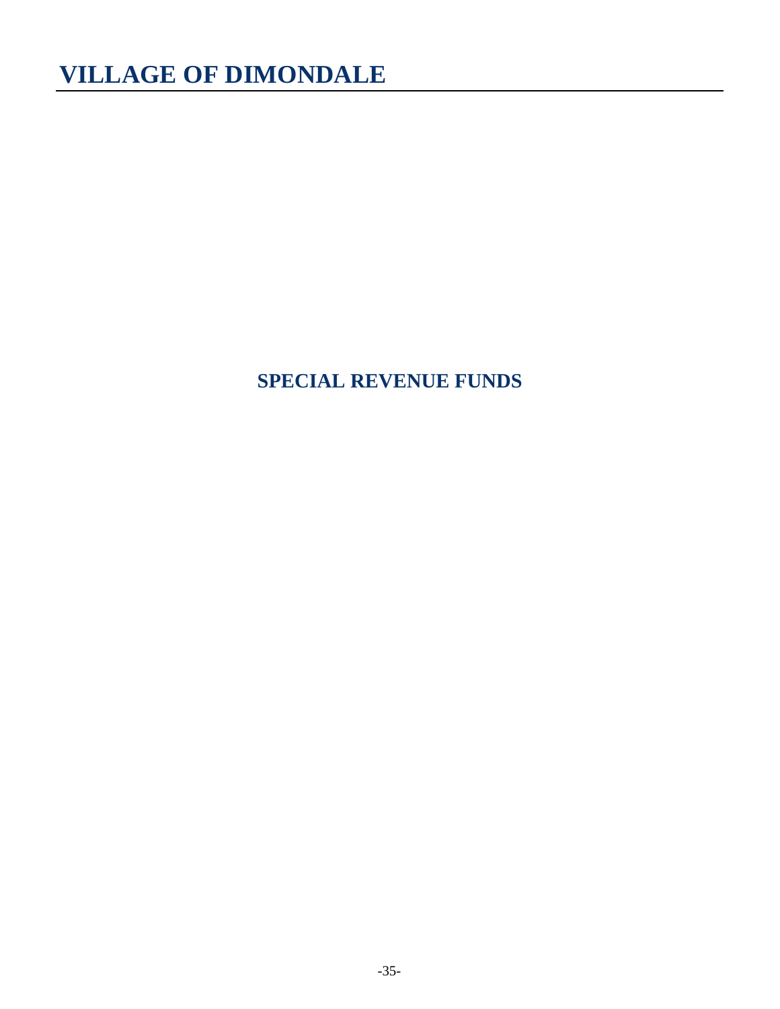## **SPECIAL REVENUE FUNDS**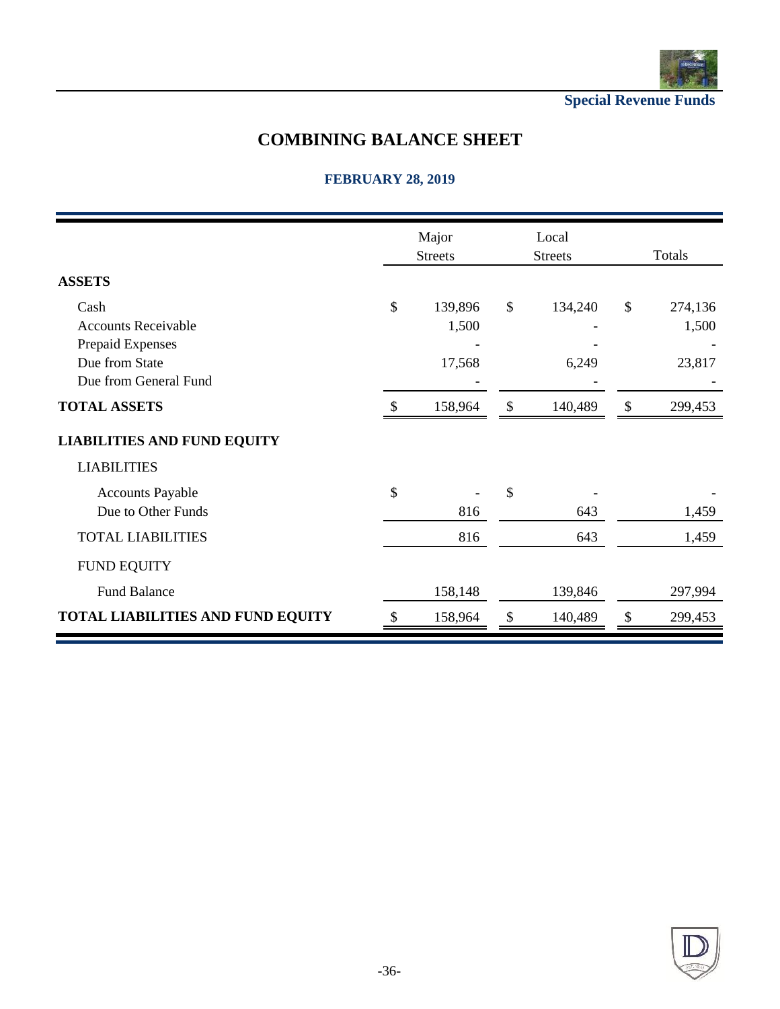

**Special Revenue Funds**

## **COMBINING BALANCE SHEET**

## **FEBRUARY 28, 2019**

|                                          |    | Major<br><b>Streets</b> |               | Local<br><b>Streets</b> | Totals        |         |  |  |
|------------------------------------------|----|-------------------------|---------------|-------------------------|---------------|---------|--|--|
| <b>ASSETS</b>                            |    |                         |               |                         |               |         |  |  |
| Cash                                     | \$ | 139,896                 | $\mathcal{S}$ | 134,240                 | $\mathcal{S}$ | 274,136 |  |  |
| <b>Accounts Receivable</b>               |    | 1,500                   |               |                         |               | 1,500   |  |  |
| Prepaid Expenses                         |    |                         |               |                         |               |         |  |  |
| Due from State                           |    | 17,568                  |               | 6,249                   |               | 23,817  |  |  |
| Due from General Fund                    |    |                         |               |                         |               |         |  |  |
| <b>TOTAL ASSETS</b>                      |    | 158,964                 | \$            | 140,489                 | \$            | 299,453 |  |  |
| <b>LIABILITIES AND FUND EQUITY</b>       |    |                         |               |                         |               |         |  |  |
| <b>LIABILITIES</b>                       |    |                         |               |                         |               |         |  |  |
| <b>Accounts Payable</b>                  | \$ |                         | \$            |                         |               |         |  |  |
| Due to Other Funds                       |    | 816                     |               | 643                     |               | 1,459   |  |  |
| <b>TOTAL LIABILITIES</b>                 |    | 816                     |               | 643                     |               | 1,459   |  |  |
| <b>FUND EQUITY</b>                       |    |                         |               |                         |               |         |  |  |
| <b>Fund Balance</b>                      |    | 158,148                 |               | 139,846                 |               | 297,994 |  |  |
| <b>TOTAL LIABILITIES AND FUND EQUITY</b> |    | 158,964                 | \$            | 140,489                 | \$            | 299,453 |  |  |

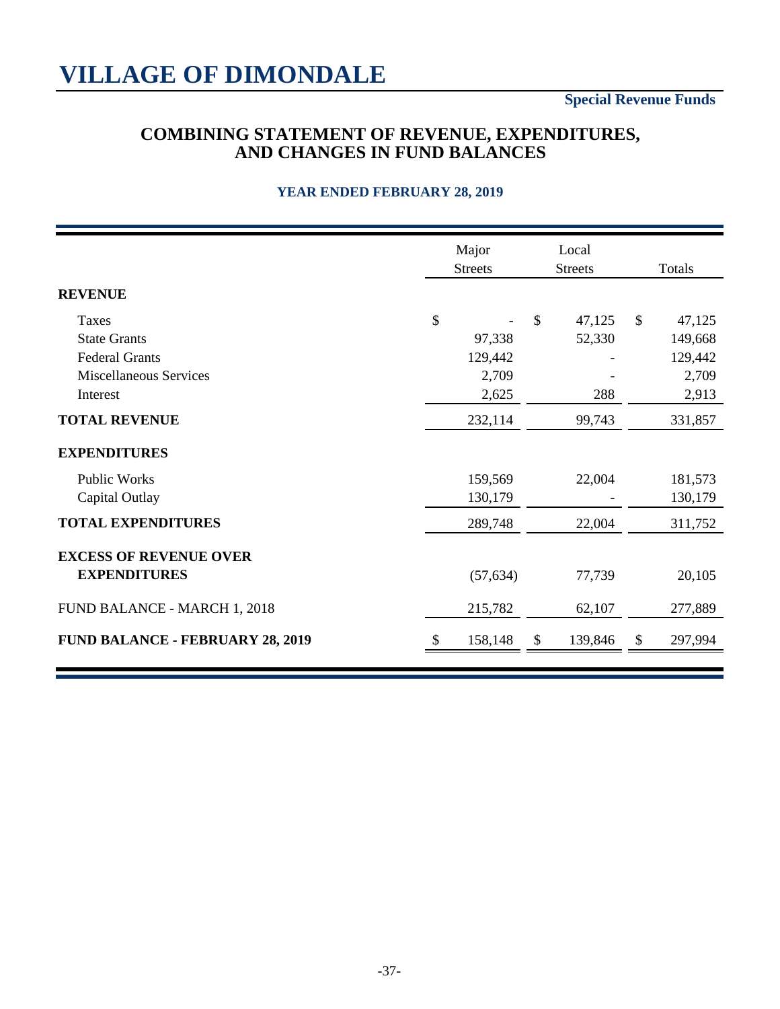## **COMBINING STATEMENT OF REVENUE, EXPENDITURES, AND CHANGES IN FUND BALANCES**

|                                         | Major<br><b>Streets</b> | Local<br><b>Streets</b> | Totals                  |  |  |
|-----------------------------------------|-------------------------|-------------------------|-------------------------|--|--|
| <b>REVENUE</b>                          |                         |                         |                         |  |  |
| Taxes                                   | \$                      | $\mathcal{S}$<br>47,125 | $\mathcal{S}$<br>47,125 |  |  |
| <b>State Grants</b>                     | 97,338                  | 52,330                  | 149,668                 |  |  |
| <b>Federal Grants</b>                   | 129,442                 |                         | 129,442                 |  |  |
| <b>Miscellaneous Services</b>           | 2,709                   |                         | 2,709                   |  |  |
| Interest                                | 2,625                   | 288                     | 2,913                   |  |  |
| <b>TOTAL REVENUE</b>                    | 232,114                 | 99,743                  | 331,857                 |  |  |
| <b>EXPENDITURES</b>                     |                         |                         |                         |  |  |
| <b>Public Works</b>                     | 159,569                 | 22,004                  | 181,573                 |  |  |
| Capital Outlay                          | 130,179                 |                         | 130,179                 |  |  |
| <b>TOTAL EXPENDITURES</b>               | 289,748                 | 22,004                  | 311,752                 |  |  |
| <b>EXCESS OF REVENUE OVER</b>           |                         |                         |                         |  |  |
| <b>EXPENDITURES</b>                     | (57, 634)               | 77,739                  | 20,105                  |  |  |
| FUND BALANCE - MARCH 1, 2018            | 215,782                 | 62,107                  | 277,889                 |  |  |
| <b>FUND BALANCE - FEBRUARY 28, 2019</b> | 158,148                 | 139,846<br>\$           | 297,994<br>P            |  |  |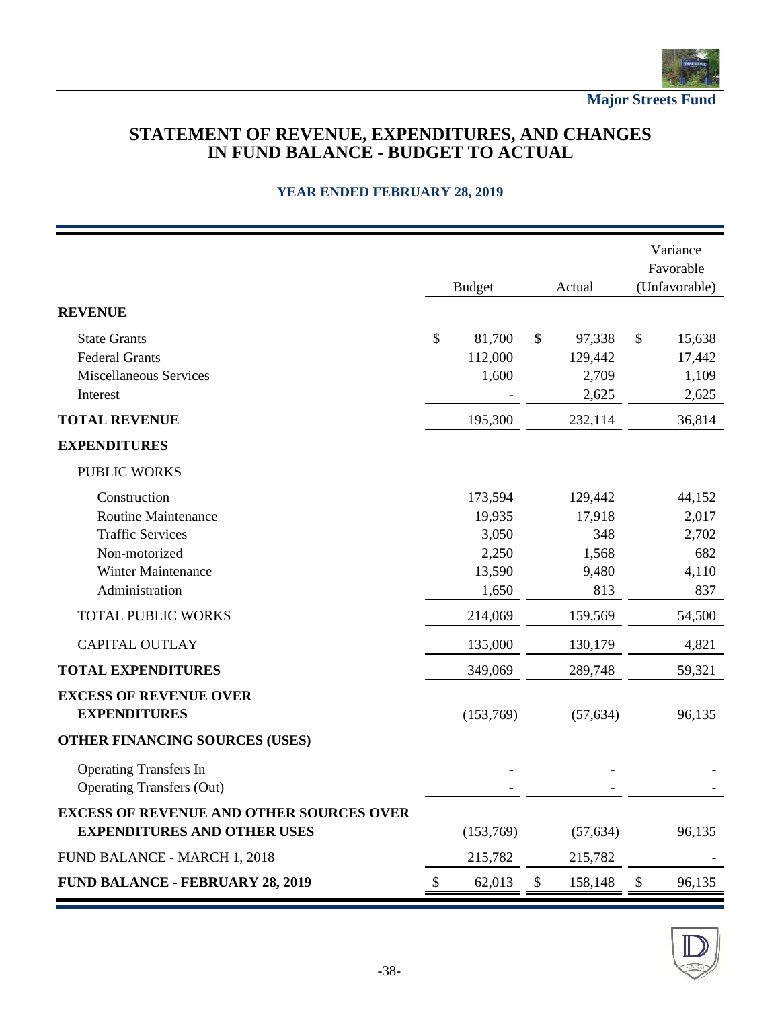

**Major Streets Fund**

### **STATEMENT OF REVENUE, EXPENDITURES, AND CHANGES IN FUND BALANCE - BUDGET TO ACTUAL**

|                                                                                       |    | <b>Budget</b> |                           | Actual    | Variance<br>Favorable<br>(Unfavorable) |        |  |
|---------------------------------------------------------------------------------------|----|---------------|---------------------------|-----------|----------------------------------------|--------|--|
| <b>REVENUE</b>                                                                        |    |               |                           |           |                                        |        |  |
| <b>State Grants</b>                                                                   | \$ | 81,700        | $\boldsymbol{\mathsf{S}}$ | 97,338    | $\$\$                                  | 15,638 |  |
| <b>Federal Grants</b>                                                                 |    | 112,000       |                           | 129,442   |                                        | 17,442 |  |
| Miscellaneous Services                                                                |    | 1,600         |                           | 2,709     |                                        | 1,109  |  |
| Interest                                                                              |    |               |                           | 2,625     |                                        | 2,625  |  |
| <b>TOTAL REVENUE</b>                                                                  |    | 195,300       |                           | 232,114   |                                        | 36,814 |  |
| <b>EXPENDITURES</b>                                                                   |    |               |                           |           |                                        |        |  |
| <b>PUBLIC WORKS</b>                                                                   |    |               |                           |           |                                        |        |  |
| Construction                                                                          |    | 173,594       |                           | 129,442   |                                        | 44,152 |  |
| <b>Routine Maintenance</b>                                                            |    | 19,935        |                           | 17,918    |                                        | 2,017  |  |
| <b>Traffic Services</b>                                                               |    | 3,050         |                           | 348       |                                        | 2,702  |  |
| Non-motorized                                                                         |    | 2,250         |                           | 1,568     |                                        | 682    |  |
| <b>Winter Maintenance</b>                                                             |    | 13,590        |                           | 9,480     |                                        | 4,110  |  |
| Administration                                                                        |    | 1,650         |                           | 813       |                                        | 837    |  |
| <b>TOTAL PUBLIC WORKS</b>                                                             |    | 214,069       |                           | 159,569   |                                        | 54,500 |  |
| <b>CAPITAL OUTLAY</b>                                                                 |    | 135,000       |                           | 130,179   |                                        | 4,821  |  |
| <b>TOTAL EXPENDITURES</b>                                                             |    | 349,069       |                           | 289,748   |                                        | 59,321 |  |
| <b>EXCESS OF REVENUE OVER</b><br><b>EXPENDITURES</b>                                  |    | (153,769)     |                           | (57, 634) |                                        | 96,135 |  |
| OTHER FINANCING SOURCES (USES)                                                        |    |               |                           |           |                                        |        |  |
| <b>Operating Transfers In</b><br><b>Operating Transfers (Out)</b>                     |    |               |                           |           |                                        |        |  |
| <b>EXCESS OF REVENUE AND OTHER SOURCES OVER</b><br><b>EXPENDITURES AND OTHER USES</b> |    | (153,769)     |                           | (57, 634) |                                        | 96,135 |  |
| FUND BALANCE - MARCH 1, 2018                                                          |    | 215,782       |                           | 215,782   |                                        |        |  |
| <b>FUND BALANCE - FEBRUARY 28, 2019</b>                                               | \$ | 62,013        | $\mathcal{L}$             | 158,148   | \$                                     | 96,135 |  |